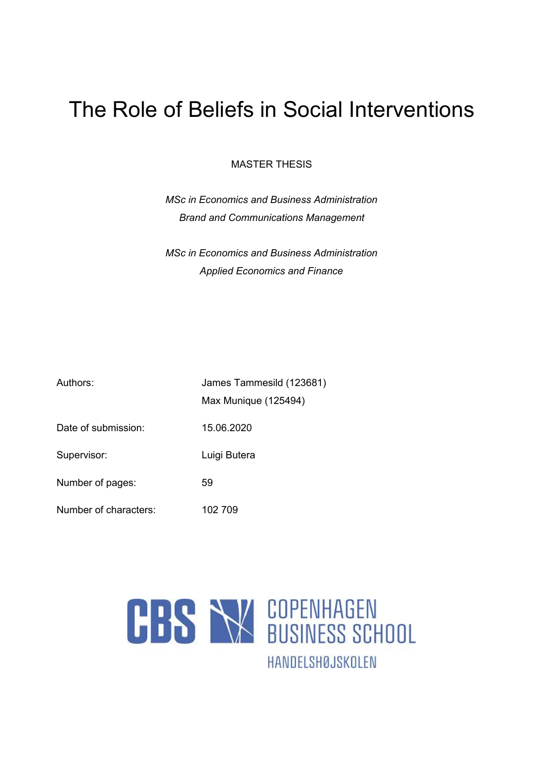# The Role of Beliefs in Social Interventions

MASTER THESIS

*MSc in Economics and Business Administration Brand and Communications Management*

*MSc in Economics and Business Administration Applied Economics and Finance*

| Authors:              | James Tammesild (123681) |  |
|-----------------------|--------------------------|--|
|                       | Max Munique (125494)     |  |
| Date of submission:   | 15.06.2020               |  |
| Supervisor:           | Luigi Butera             |  |
| Number of pages:      | 59                       |  |
| Number of characters: | 102 709                  |  |

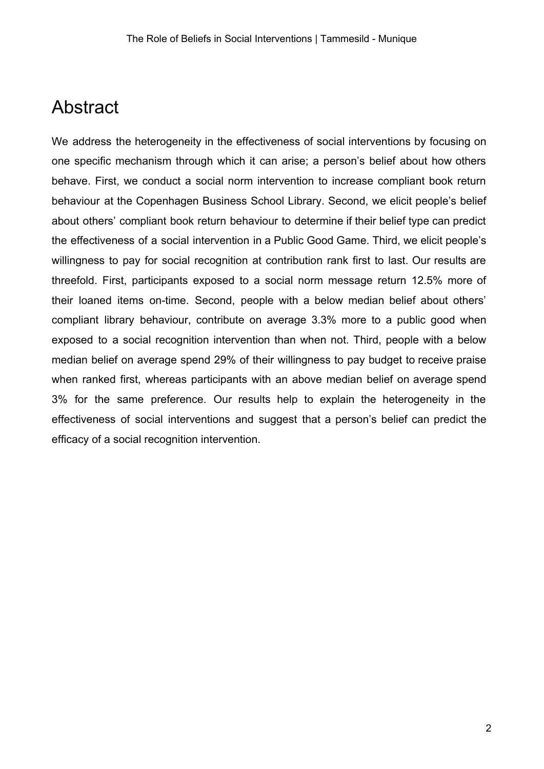# Abstract

We address the heterogeneity in the effectiveness of social interventions by focusing on one specific mechanism through which it can arise; a person's belief about how others behave. First, we conduct a social norm intervention to increase compliant book return behaviour at the Copenhagen Business School Library. Second, we elicit people's belief about others' compliant book return behaviour to determine if their belief type can predict the effectiveness of a social intervention in a Public Good Game. Third, we elicit people's willingness to pay for social recognition at contribution rank first to last. Our results are threefold. First, participants exposed to a social norm message return 12.5% more of their loaned items on-time. Second, people with a below median belief about others' compliant library behaviour, contribute on average 3.3% more to a public good when exposed to a social recognition intervention than when not. Third, people with a below median belief on average spend 29% of their willingness to pay budget to receive praise when ranked first, whereas participants with an above median belief on average spend 3% for the same preference. Our results help to explain the heterogeneity in the effectiveness of social interventions and suggest that a person's belief can predict the efficacy of a social recognition intervention.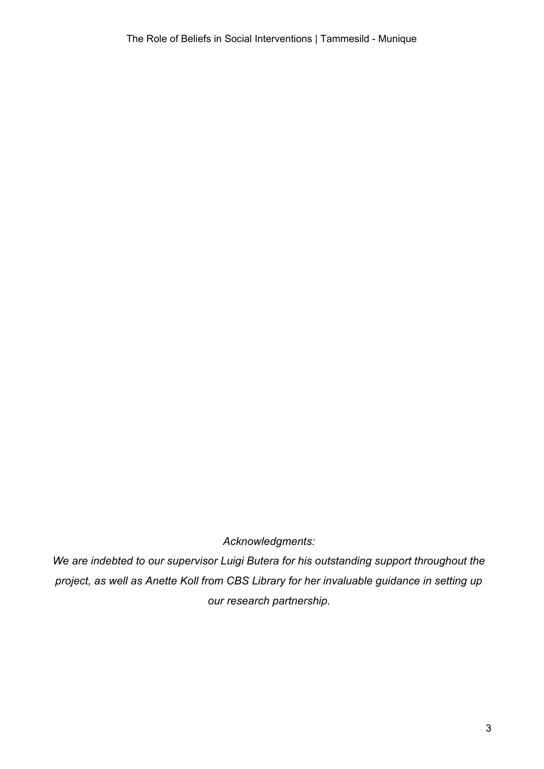*Acknowledgments:*

*We are indebted to our supervisor Luigi Butera for his outstanding support throughout the project, as well as Anette Koll from CBS Library for her invaluable guidance in setting up our research partnership.*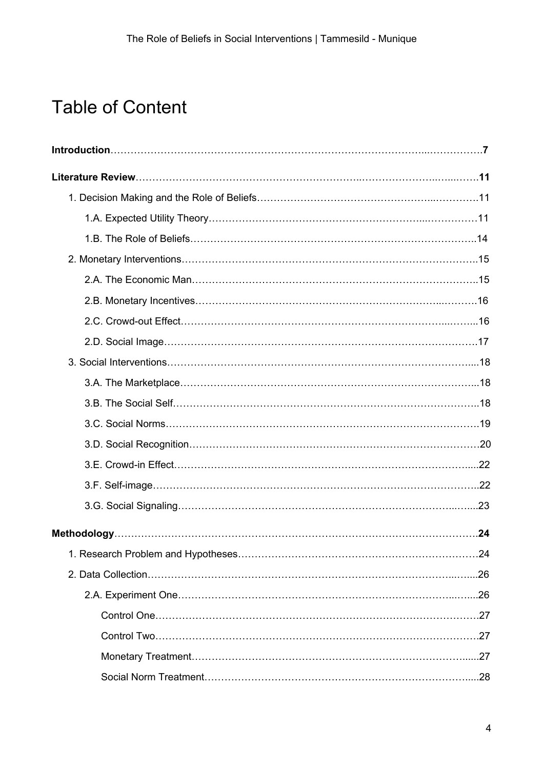# Table of Content

| .24 |
|-----|
|     |
|     |
|     |
|     |
|     |
|     |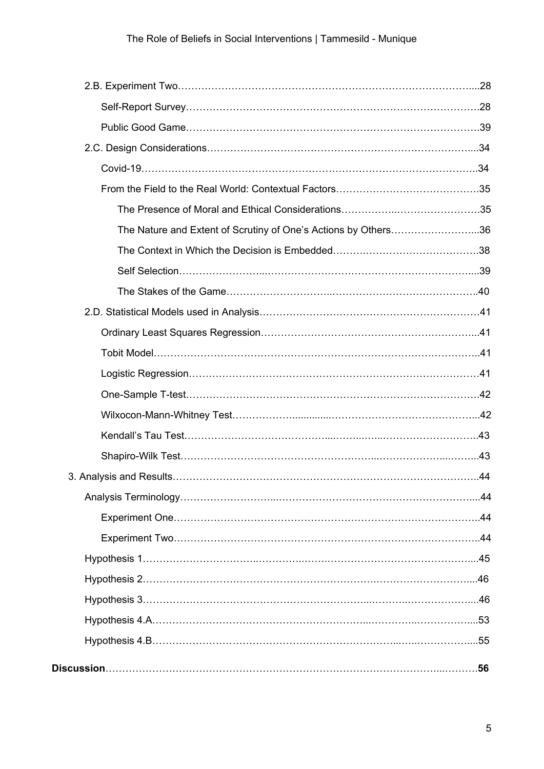| The Nature and Extent of Scrutiny of One's Actions by Others36 |  |
|----------------------------------------------------------------|--|
|                                                                |  |
|                                                                |  |
|                                                                |  |
|                                                                |  |
|                                                                |  |
|                                                                |  |
|                                                                |  |
|                                                                |  |
|                                                                |  |
|                                                                |  |
|                                                                |  |
|                                                                |  |
|                                                                |  |
|                                                                |  |
|                                                                |  |
|                                                                |  |
|                                                                |  |
|                                                                |  |
|                                                                |  |
|                                                                |  |
|                                                                |  |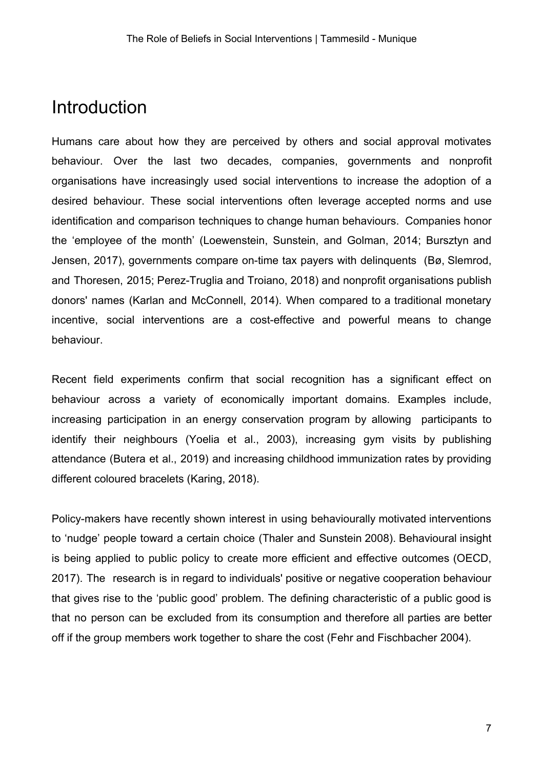# Introduction

Humans care about how they are perceived by others and social approval motivates behaviour. Over the last two decades, companies, governments and nonprofit organisations have increasingly used social interventions to increase the adoption of a desired behaviour. These social interventions often leverage accepted norms and use identification and comparison techniques to change human behaviours. Companies honor the 'employee of the month' (Loewenstein, Sunstein, and Golman, 2014; Bursztyn and Jensen, 2017), governments compare on-time tax payers with delinquents (Bø, Slemrod, and Thoresen, 2015; Perez-Truglia and Troiano, 2018) and nonprofit organisations publish donors' names (Karlan and McConnell, 2014). When compared to a traditional monetary incentive, social interventions are a cost-effective and powerful means to change behaviour.

Recent field experiments confirm that social recognition has a significant effect on behaviour across a variety of economically important domains. Examples include, increasing participation in an energy conservation program by allowing participants to identify their neighbours (Yoelia et al., 2003), increasing gym visits by publishing attendance (Butera et al., 2019) and increasing childhood immunization rates by providing different coloured bracelets (Karing, 2018).

Policy-makers have recently shown interest in using behaviourally motivated interventions to 'nudge' people toward a certain choice (Thaler and Sunstein 2008). Behavioural insight is being applied to public policy to create more efficient and effective outcomes (OECD, 2017). The research is in regard to individuals' positive or negative cooperation behaviour that gives rise to the 'public good' problem. The defining characteristic of a public good is that no person can be excluded from its consumption and therefore all parties are better off if the group members work together to share the cost (Fehr and Fischbacher 2004).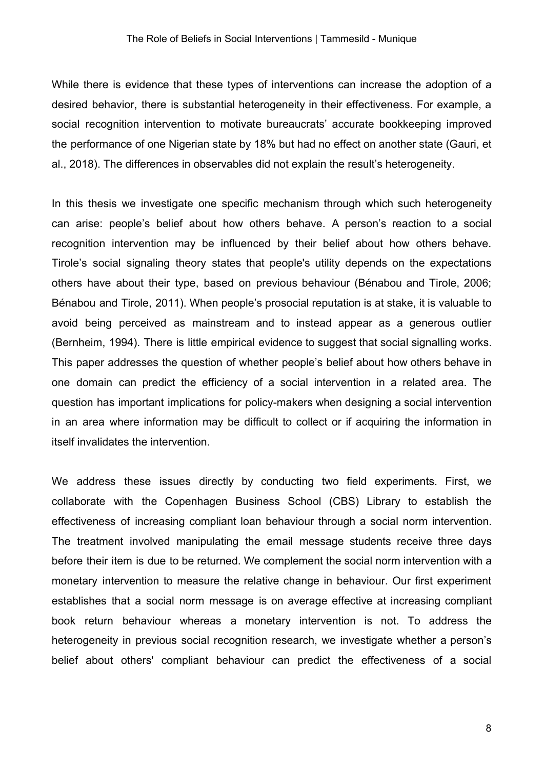While there is evidence that these types of interventions can increase the adoption of a desired behavior, there is substantial heterogeneity in their effectiveness. For example, a social recognition intervention to motivate bureaucrats' accurate bookkeeping improved the performance of one Nigerian state by 18% but had no effect on another state (Gauri, et al., 2018). The differences in observables did not explain the result's heterogeneity.

In this thesis we investigate one specific mechanism through which such heterogeneity can arise: people's belief about how others behave. A person's reaction to a social recognition intervention may be influenced by their belief about how others behave. Tirole's social signaling theory states that people's utility depends on the expectations others have about their type, based on previous behaviour (Bénabou and Tirole, 2006; Bénabou and Tirole, 2011). When people's prosocial reputation is at stake, it is valuable to avoid being perceived as mainstream and to instead appear as a generous outlier (Bernheim, 1994). There is little empirical evidence to suggest that social signalling works. This paper addresses the question of whether people's belief about how others behave in one domain can predict the efficiency of a social intervention in a related area. The question has important implications for policy-makers when designing a social intervention in an area where information may be difficult to collect or if acquiring the information in itself invalidates the intervention.

We address these issues directly by conducting two field experiments. First, we collaborate with the Copenhagen Business School (CBS) Library to establish the effectiveness of increasing compliant loan behaviour through a social norm intervention. The treatment involved manipulating the email message students receive three days before their item is due to be returned. We complement the social norm intervention with a monetary intervention to measure the relative change in behaviour. Our first experiment establishes that a social norm message is on average effective at increasing compliant book return behaviour whereas a monetary intervention is not. To address the heterogeneity in previous social recognition research, we investigate whether a person's belief about others' compliant behaviour can predict the effectiveness of a social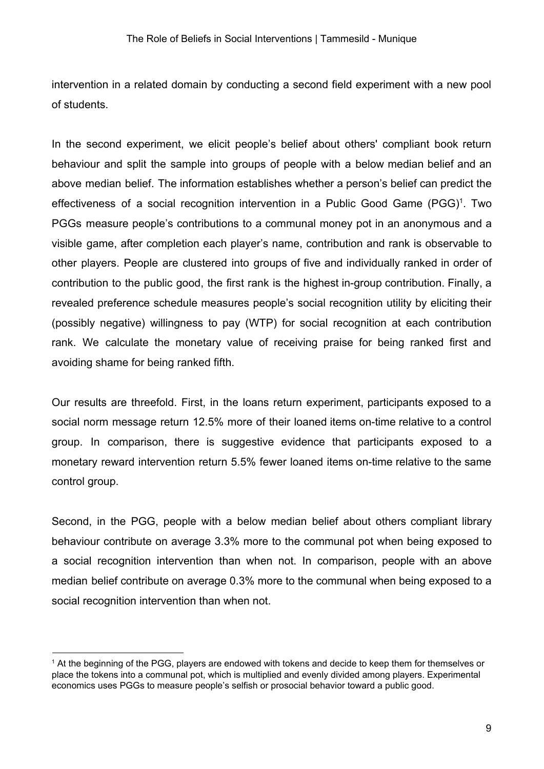intervention in a related domain by conducting a second field experiment with a new pool of students.

In the second experiment, we elicit people's belief about others' compliant book return behaviour and split the sample into groups of people with a below median belief and an above median belief. The information establishes whether a person's belief can predict the effectiveness of a social recognition intervention in a Public Good Game (PGG)<sup>1</sup>. Two PGGs measure people's contributions to a communal money pot in an anonymous and a visible game, after completion each player's name, contribution and rank is observable to other players. People are clustered into groups of five and individually ranked in order of contribution to the public good, the first rank is the highest in-group contribution. Finally, a revealed preference schedule measures people's social recognition utility by eliciting their (possibly negative) willingness to pay (WTP) for social recognition at each contribution rank. We calculate the monetary value of receiving praise for being ranked first and avoiding shame for being ranked fifth.

Our results are threefold. First, in the loans return experiment, participants exposed to a social norm message return 12.5% more of their loaned items on-time relative to a control group. In comparison, there is suggestive evidence that participants exposed to a monetary reward intervention return 5.5% fewer loaned items on-time relative to the same control group.

Second, in the PGG, people with a below median belief about others compliant library behaviour contribute on average 3.3% more to the communal pot when being exposed to a social recognition intervention than when not. In comparison, people with an above median belief contribute on average 0.3% more to the communal when being exposed to a social recognition intervention than when not.

<sup>1</sup> At the beginning of the PGG, players are endowed with tokens and decide to keep them for themselves or place the tokens into a communal pot, which is multiplied and evenly divided among players. Experimental economics uses PGGs to measure people's selfish or prosocial behavior toward a public good.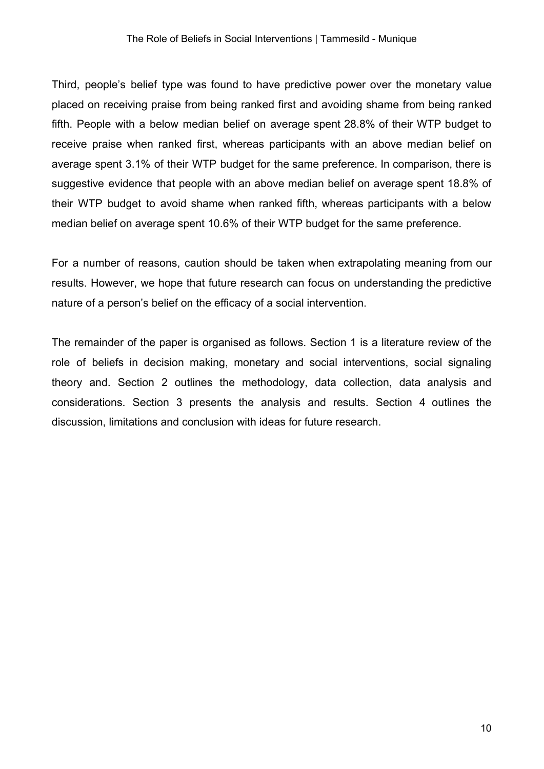Third, people's belief type was found to have predictive power over the monetary value placed on receiving praise from being ranked first and avoiding shame from being ranked fifth. People with a below median belief on average spent 28.8% of their WTP budget to receive praise when ranked first, whereas participants with an above median belief on average spent 3.1% of their WTP budget for the same preference. In comparison, there is suggestive evidence that people with an above median belief on average spent 18.8% of their WTP budget to avoid shame when ranked fifth, whereas participants with a below median belief on average spent 10.6% of their WTP budget for the same preference.

For a number of reasons, caution should be taken when extrapolating meaning from our results. However, we hope that future research can focus on understanding the predictive nature of a person's belief on the efficacy of a social intervention.

The remainder of the paper is organised as follows. Section 1 is a literature review of the role of beliefs in decision making, monetary and social interventions, social signaling theory and. Section 2 outlines the methodology, data collection, data analysis and considerations. Section 3 presents the analysis and results. Section 4 outlines the discussion, limitations and conclusion with ideas for future research.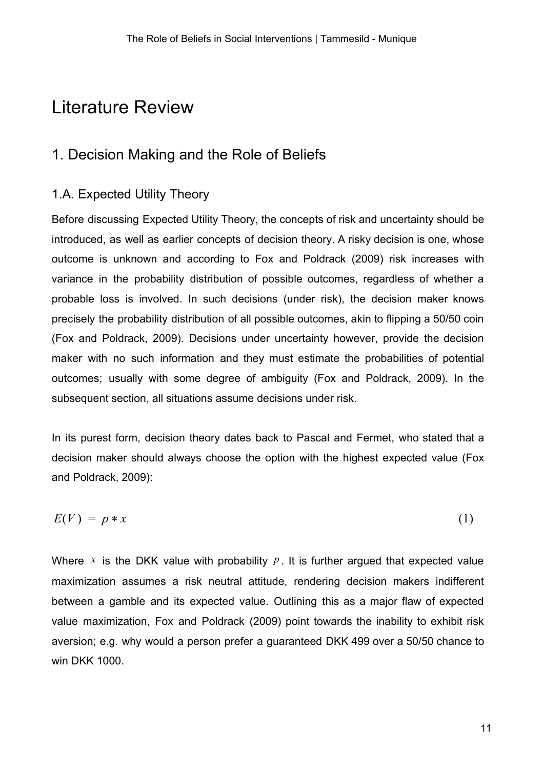# <span id="page-10-0"></span>Literature Review

# <span id="page-10-1"></span>1. Decision Making and the Role of Beliefs

## <span id="page-10-2"></span>1.A. Expected Utility Theory

Before discussing Expected Utility Theory, the concepts of risk and uncertainty should be introduced, as well as earlier concepts of decision theory. A risky decision is one, whose outcome is unknown and according to Fox and Poldrack (2009) risk increases with variance in the probability distribution of possible outcomes, regardless of whether a probable loss is involved. In such decisions (under risk), the decision maker knows precisely the probability distribution of all possible outcomes, akin to flipping a 50/50 coin (Fox and Poldrack, 2009). Decisions under uncertainty however, provide the decision maker with no such information and they must estimate the probabilities of potential outcomes; usually with some degree of ambiguity (Fox and Poldrack, 2009). In the subsequent section, all situations assume decisions under risk.

In its purest form, decision theory dates back to Pascal and Fermet, who stated that a decision maker should always choose the option with the highest expected value (Fox and Poldrack, 2009):

$$
E(V) = p * x \tag{1}
$$

Where  $x$  is the DKK value with probability  $p$ . It is further argued that expected value maximization assumes a risk neutral attitude, rendering decision makers indifferent between a gamble and its expected value. Outlining this as a major flaw of expected value maximization, Fox and Poldrack (2009) point towards the inability to exhibit risk aversion; e.g. why would a person prefer a guaranteed DKK 499 over a 50/50 chance to win DKK 1000.

11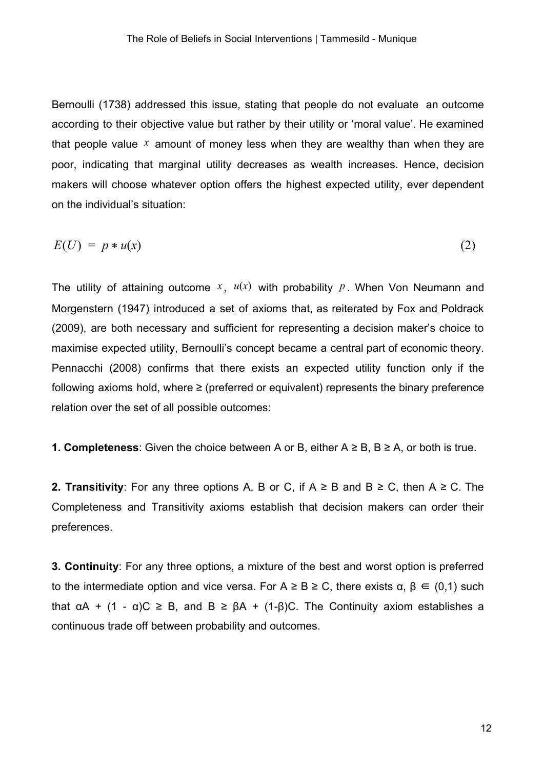Bernoulli (1738) addressed this issue, stating that people do not evaluate an outcome according to their objective value but rather by their utility or 'moral value'. He examined that people value *x* amount of money less when they are wealthy than when they are poor, indicating that marginal utility decreases as wealth increases. Hence, decision makers will choose whatever option offers the highest expected utility, ever dependent on the individual's situation:

$$
E(U) = p * u(x) \tag{2}
$$

The utility of attaining outcome  $x$ ,  $u(x)$  with probability  $p$ . When Von Neumann and Morgenstern (1947) introduced a set of axioms that, as reiterated by Fox and Poldrack (2009), are both necessary and sufficient for representing a decision maker's choice to maximise expected utility, Bernoulli's concept became a central part of economic theory. Pennacchi (2008) confirms that there exists an expected utility function only if the following axioms hold, where  $\geq$  (preferred or equivalent) represents the binary preference relation over the set of all possible outcomes:

**1. Completeness**: Given the choice between A or B, either  $A \geq B$ ,  $B \geq A$ , or both is true.

**2. Transitivity**: For any three options A, B or C, if  $A \geq B$  and  $B \geq C$ , then  $A \geq C$ . The Completeness and Transitivity axioms establish that decision makers can order their preferences.

**3. Continuity**: For any three options, a mixture of the best and worst option is preferred to the intermediate option and vice versa. For  $A \geq B \geq C$ , there exists  $\alpha, \beta \in (0,1)$  such that  $\alpha A$  + (1 -  $\alpha$ )C  $\geq$  B, and B  $\geq$   $\beta$ A + (1- $\beta$ )C. The Continuity axiom establishes a continuous trade off between probability and outcomes.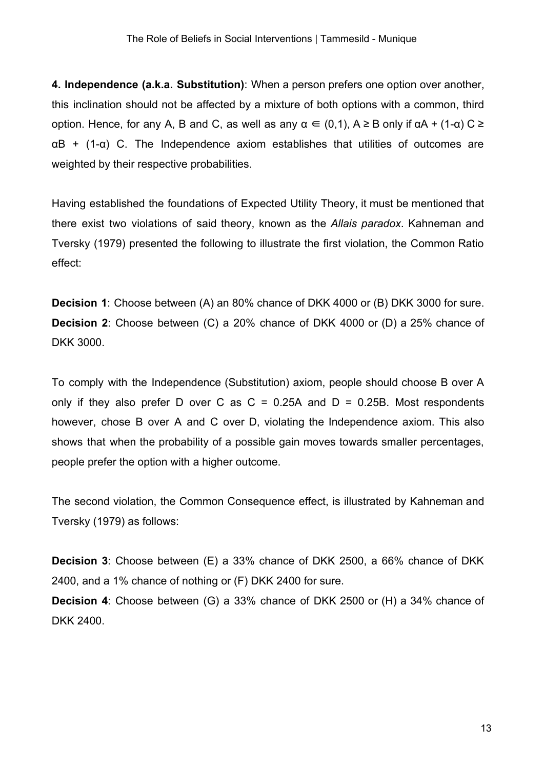**4. Independence (a.k.a. Substitution)**: When a person prefers one option over another, this inclination should not be affected by a mixture of both options with a common, third option. Hence, for any A, B and C, as well as any  $\alpha \in (0,1)$ ,  $A \geq B$  only if  $\alpha A + (1-\alpha) C \geq$  $\alpha$ B + (1- $\alpha$ ) C. The Independence axiom establishes that utilities of outcomes are weighted by their respective probabilities.

Having established the foundations of Expected Utility Theory, it must be mentioned that there exist two violations of said theory, known as the *Allais paradox*. Kahneman and Tversky (1979) presented the following to illustrate the first violation, the Common Ratio effect:

**Decision 1**: Choose between (A) an 80% chance of DKK 4000 or (B) DKK 3000 for sure. **Decision 2**: Choose between (C) a 20% chance of DKK 4000 or (D) a 25% chance of DKK 3000.

To comply with the Independence (Substitution) axiom, people should choose B over A only if they also prefer D over C as  $C = 0.25A$  and  $D = 0.25B$ . Most respondents however, chose B over A and C over D, violating the Independence axiom. This also shows that when the probability of a possible gain moves towards smaller percentages, people prefer the option with a higher outcome.

The second violation, the Common Consequence effect, is illustrated by Kahneman and Tversky (1979) as follows:

**Decision 3**: Choose between (E) a 33% chance of DKK 2500, a 66% chance of DKK 2400, and a 1% chance of nothing or (F) DKK 2400 for sure. **Decision 4**: Choose between (G) a 33% chance of DKK 2500 or (H) a 34% chance of

DKK 2400.

13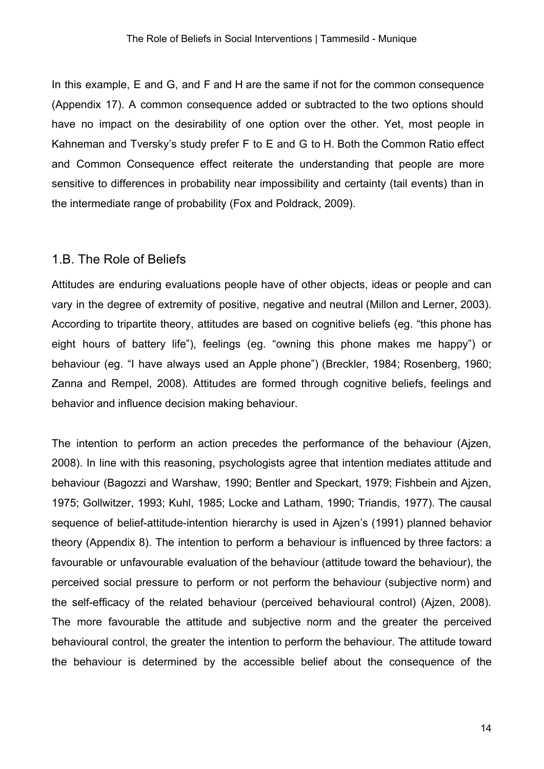In this example, E and G, and F and H are the same if not for the common consequence (Appendix 17). A common consequence added or subtracted to the two options should have no impact on the desirability of one option over the other. Yet, most people in Kahneman and Tversky's study prefer F to E and G to H. Both the Common Ratio effect and Common Consequence effect reiterate the understanding that people are more sensitive to differences in probability near impossibility and certainty (tail events) than in the intermediate range of probability (Fox and Poldrack, 2009).

#### <span id="page-13-0"></span>1.B. The Role of Beliefs

Attitudes are enduring evaluations people have of other objects, ideas or people and can vary in the degree of extremity of positive, negative and neutral (Millon and Lerner, 2003). According to tripartite theory, attitudes are based on cognitive beliefs (eg. "this phone has eight hours of battery life"), feelings (eg. "owning this phone makes me happy") or behaviour (eg. "I have always used an Apple phone") (Breckler, 1984; Rosenberg, 1960; Zanna and Rempel, 2008). Attitudes are formed through cognitive beliefs, feelings and behavior and influence decision making behaviour.

The intention to perform an action precedes the performance of the behaviour (Ajzen, 2008). In line with this reasoning, psychologists agree that intention mediates attitude and behaviour (Bagozzi and Warshaw, 1990; Bentler and Speckart, 1979; Fishbein and Ajzen, 1975; Gollwitzer, 1993; Kuhl, 1985; Locke and Latham, 1990; Triandis, 1977). The causal sequence of belief-attitude-intention hierarchy is used in Ajzen's (1991) planned behavior theory (Appendix 8). The intention to perform a behaviour is influenced by three factors: a favourable or unfavourable evaluation of the behaviour (attitude toward the behaviour), the perceived social pressure to perform or not perform the behaviour (subjective norm) and the self-efficacy of the related behaviour (perceived behavioural control) (Ajzen, 2008). The more favourable the attitude and subjective norm and the greater the perceived behavioural control, the greater the intention to perform the behaviour. The attitude toward the behaviour is determined by the accessible belief about the consequence of the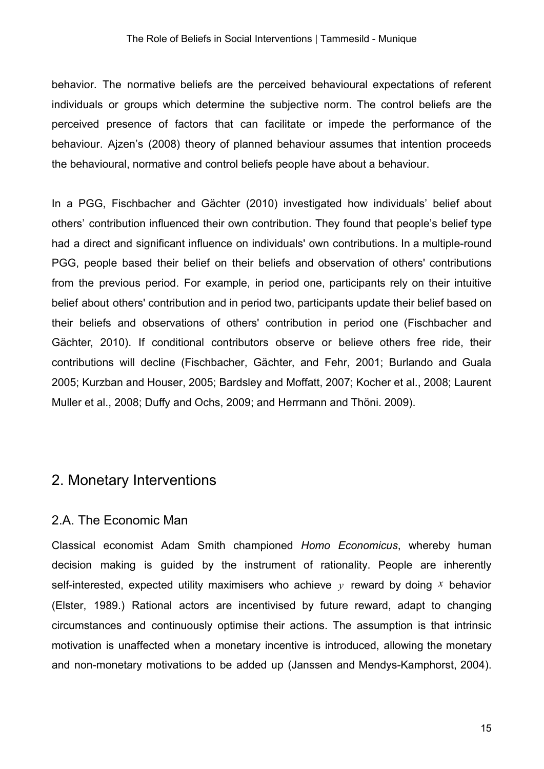behavior. The normative beliefs are the perceived behavioural expectations of referent individuals or groups which determine the subjective norm. The control beliefs are the perceived presence of factors that can facilitate or impede the performance of the behaviour. Ajzen's (2008) theory of planned behaviour assumes that intention proceeds the behavioural, normative and control beliefs people have about a behaviour.

In a PGG, Fischbacher and Gächter (2010) investigated how individuals' belief about others' contribution influenced their own contribution. They found that people's belief type had a direct and significant influence on individuals' own contributions. In a multiple-round PGG, people based their belief on their beliefs and observation of others' contributions from the previous period. For example, in period one, participants rely on their intuitive belief about others' contribution and in period two, participants update their belief based on their beliefs and observations of others' contribution in period one (Fischbacher and Gächter, 2010). If conditional contributors observe or believe others free ride, their contributions will decline (Fischbacher, Gächter, and Fehr, 2001; Burlando and Guala 2005; Kurzban and Houser, 2005; Bardsley and Moffatt, 2007; Kocher et al., 2008; Laurent Muller et al., 2008; Duffy and Ochs, 2009; and Herrmann and Thöni. 2009).

## <span id="page-14-0"></span>2. Monetary Interventions

#### <span id="page-14-1"></span>2.A. The Economic Man

Classical economist Adam Smith championed *Homo Economicus*, whereby human decision making is guided by the instrument of rationality. People are inherently self-interested, expected utility maximisers who achieve *y* reward by doing *x* behavior (Elster, 1989.) Rational actors are incentivised by future reward, adapt to changing circumstances and continuously optimise their actions. The assumption is that intrinsic motivation is unaffected when a monetary incentive is introduced, allowing the monetary and non-monetary motivations to be added up (Janssen and Mendys-Kamphorst, 2004).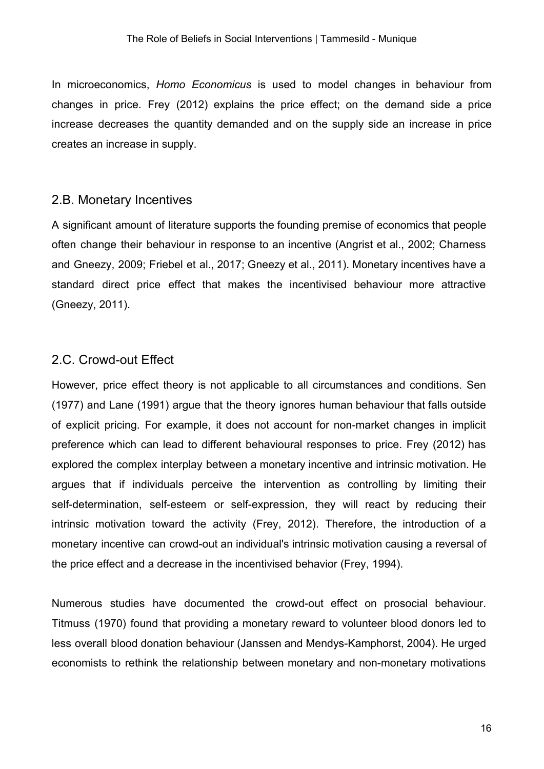In microeconomics, *Homo Economicus* is used to model changes in behaviour from changes in price. Frey (2012) explains the price effect; on the demand side a price increase decreases the quantity demanded and on the supply side an increase in price creates an increase in supply.

#### <span id="page-15-0"></span>2.B. Monetary Incentives

A significant amount of literature supports the founding premise of economics that people often change their behaviour in response to an incentive (Angrist et al., 2002; Charness and Gneezy, 2009; Friebel et al., 2017; Gneezy et al., 2011). Monetary incentives have a standard direct price effect that makes the incentivised behaviour more attractive (Gneezy, 2011).

### <span id="page-15-1"></span>2.C. Crowd-out Effect

However, price effect theory is not applicable to all circumstances and conditions. Sen (1977) and Lane (1991) argue that the theory ignores human behaviour that falls outside of explicit pricing. For example, it does not account for non-market changes in implicit preference which can lead to different behavioural responses to price. Frey (2012) has explored the complex interplay between a monetary incentive and intrinsic motivation. He argues that if individuals perceive the intervention as controlling by limiting their self-determination, self-esteem or self-expression, they will react by reducing their intrinsic motivation toward the activity (Frey, 2012). Therefore, the introduction of a monetary incentive can crowd-out an individual's intrinsic motivation causing a reversal of the price effect and a decrease in the incentivised behavior (Frey, 1994).

Numerous studies have documented the crowd-out effect on prosocial behaviour. Titmuss (1970) found that providing a monetary reward to volunteer blood donors led to less overall blood donation behaviour (Janssen and Mendys-Kamphorst, 2004). He urged economists to rethink the relationship between monetary and non-monetary motivations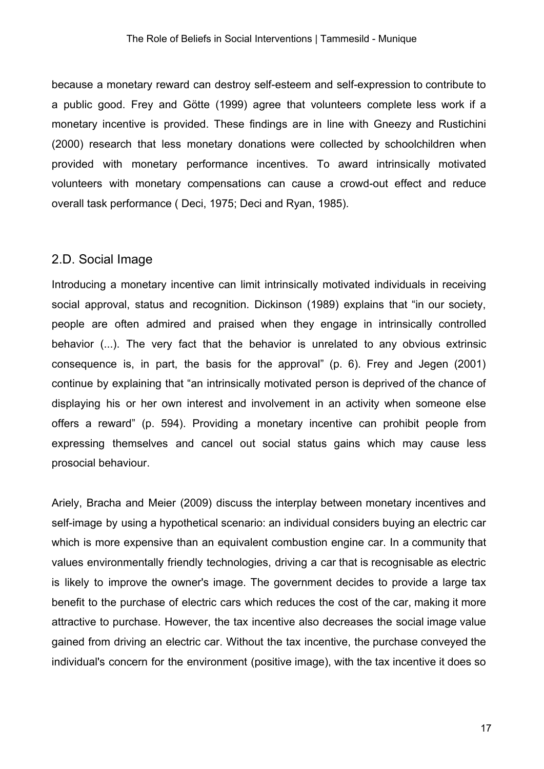because a monetary reward can destroy self-esteem and self-expression to contribute to a public good. Frey and Götte (1999) agree that volunteers complete less work if a monetary incentive is provided. These findings are in line with Gneezy and Rustichini (2000) research that less monetary donations were collected by schoolchildren when provided with monetary performance incentives. To award intrinsically motivated volunteers with monetary compensations can cause a crowd-out effect and reduce overall task performance ( Deci, 1975; Deci and Ryan, 1985).

### <span id="page-16-0"></span>2.D. Social Image

Introducing a monetary incentive can limit intrinsically motivated individuals in receiving social approval, status and recognition. Dickinson (1989) explains that "in our society, people are often admired and praised when they engage in intrinsically controlled behavior (...). The very fact that the behavior is unrelated to any obvious extrinsic consequence is, in part, the basis for the approval" (p. 6). Frey and Jegen (2001) continue by explaining that "an intrinsically motivated person is deprived of the chance of displaying his or her own interest and involvement in an activity when someone else offers a reward" (p. 594). Providing a monetary incentive can prohibit people from expressing themselves and cancel out social status gains which may cause less prosocial behaviour.

Ariely, Bracha and Meier (2009) discuss the interplay between monetary incentives and self-image by using a hypothetical scenario: an individual considers buying an electric car which is more expensive than an equivalent combustion engine car. In a community that values environmentally friendly technologies, driving a car that is recognisable as electric is likely to improve the owner's image. The government decides to provide a large tax benefit to the purchase of electric cars which reduces the cost of the car, making it more attractive to purchase. However, the tax incentive also decreases the social image value gained from driving an electric car. Without the tax incentive, the purchase conveyed the individual's concern for the environment (positive image), with the tax incentive it does so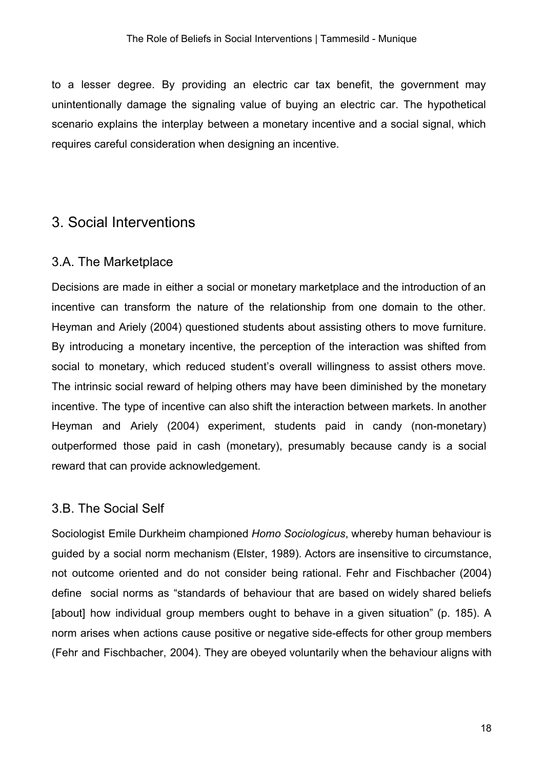to a lesser degree. By providing an electric car tax benefit, the government may unintentionally damage the signaling value of buying an electric car. The hypothetical scenario explains the interplay between a monetary incentive and a social signal, which requires careful consideration when designing an incentive.

## <span id="page-17-0"></span>3. Social Interventions

### <span id="page-17-1"></span>3.A. The Marketplace

Decisions are made in either a social or monetary marketplace and the introduction of an incentive can transform the nature of the relationship from one domain to the other. Heyman and Ariely (2004) questioned students about assisting others to move furniture. By introducing a monetary incentive, the perception of the interaction was shifted from social to monetary, which reduced student's overall willingness to assist others move. The intrinsic social reward of helping others may have been diminished by the monetary incentive. The type of incentive can also shift the interaction between markets. In another Heyman and Ariely (2004) experiment, students paid in candy (non-monetary) outperformed those paid in cash (monetary), presumably because candy is a social reward that can provide acknowledgement.

## <span id="page-17-2"></span>3.B. The Social Self

Sociologist Emile Durkheim championed *Homo Sociologicus*, whereby human behaviour is guided by a social norm mechanism (Elster, 1989). Actors are insensitive to circumstance, not outcome oriented and do not consider being rational. Fehr and Fischbacher (2004) define social norms as "standards of behaviour that are based on widely shared beliefs [about] how individual group members ought to behave in a given situation" (p. 185). A norm arises when actions cause positive or negative side-effects for other group members (Fehr and Fischbacher, 2004). They are obeyed voluntarily when the behaviour aligns with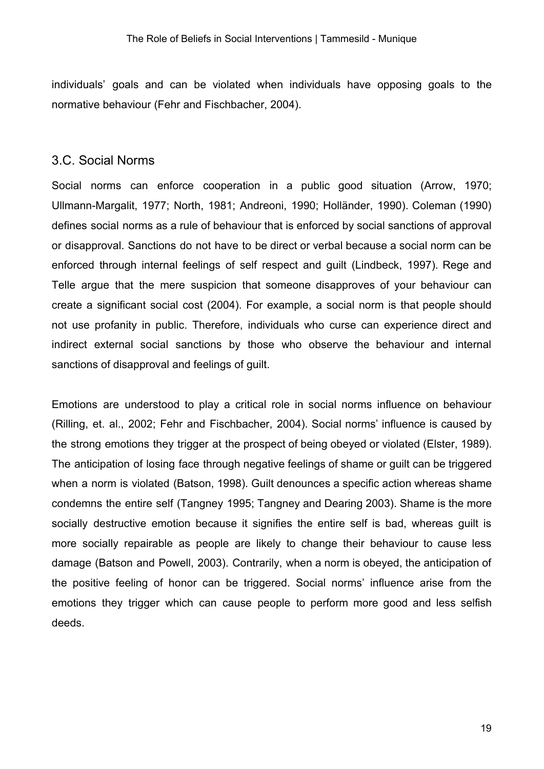individuals' goals and can be violated when individuals have opposing goals to the normative behaviour (Fehr and Fischbacher, 2004).

#### <span id="page-18-0"></span>3.C. Social Norms

Social norms can enforce cooperation in a public good situation (Arrow, 1970; Ullmann-Margalit, 1977; North, 1981; Andreoni, 1990; Holländer, 1990). Coleman (1990) defines social norms as a rule of behaviour that is enforced by social sanctions of approval or disapproval. Sanctions do not have to be direct or verbal because a social norm can be enforced through internal feelings of self respect and guilt (Lindbeck, 1997). Rege and Telle argue that the mere suspicion that someone disapproves of your behaviour can create a significant social cost (2004). For example, a social norm is that people should not use profanity in public. Therefore, individuals who curse can experience direct and indirect external social sanctions by those who observe the behaviour and internal sanctions of disapproval and feelings of guilt.

Emotions are understood to play a critical role in social norms influence on behaviour (Rilling, et. al., 2002; Fehr and Fischbacher, 2004). Social norms' influence is caused by the strong emotions they trigger at the prospect of being obeyed or violated (Elster, 1989). The anticipation of losing face through negative feelings of shame or guilt can be triggered when a norm is violated (Batson, 1998). Guilt denounces a specific action whereas shame condemns the entire self (Tangney 1995; Tangney and Dearing 2003). Shame is the more socially destructive emotion because it signifies the entire self is bad, whereas guilt is more socially repairable as people are likely to change their behaviour to cause less damage (Batson and Powell, 2003). Contrarily, when a norm is obeyed, the anticipation of the positive feeling of honor can be triggered. Social norms' influence arise from the emotions they trigger which can cause people to perform more good and less selfish deeds.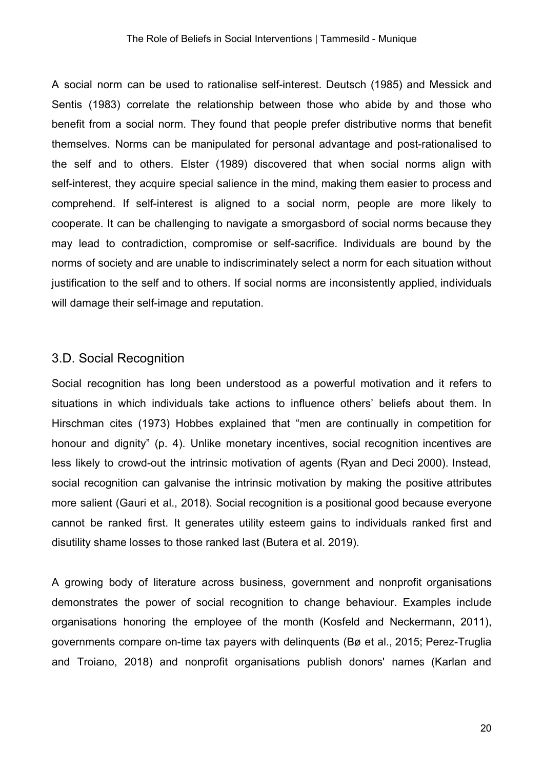A social norm can be used to rationalise self-interest. Deutsch (1985) and Messick and Sentis (1983) correlate the relationship between those who abide by and those who benefit from a social norm. They found that people prefer distributive norms that benefit themselves. Norms can be manipulated for personal advantage and post-rationalised to the self and to others. Elster (1989) discovered that when social norms align with self-interest, they acquire special salience in the mind, making them easier to process and comprehend. If self-interest is aligned to a social norm, people are more likely to cooperate. It can be challenging to navigate a smorgasbord of social norms because they may lead to contradiction, compromise or self-sacrifice. Individuals are bound by the norms of society and are unable to indiscriminately select a norm for each situation without justification to the self and to others. If social norms are inconsistently applied, individuals will damage their self-image and reputation.

### <span id="page-19-0"></span>3.D. Social Recognition

Social recognition has long been understood as a powerful motivation and it refers to situations in which individuals take actions to influence others' beliefs about them. In Hirschman cites (1973) Hobbes explained that "men are continually in competition for honour and dignity" (p. 4). Unlike monetary incentives, social recognition incentives are less likely to crowd-out the intrinsic motivation of agents (Ryan and Deci 2000). Instead, social recognition can galvanise the intrinsic motivation by making the positive attributes more salient (Gauri et al., 2018). Social recognition is a positional good because everyone cannot be ranked first. It generates utility esteem gains to individuals ranked first and disutility shame losses to those ranked last (Butera et al. 2019).

A growing body of literature across business, government and nonprofit organisations demonstrates the power of social recognition to change behaviour. Examples include organisations honoring the employee of the month (Kosfeld and Neckermann, 2011), governments compare on-time tax payers with delinquents (Bø et al., 2015; Perez-Truglia and Troiano, 2018) and nonprofit organisations publish donors' names (Karlan and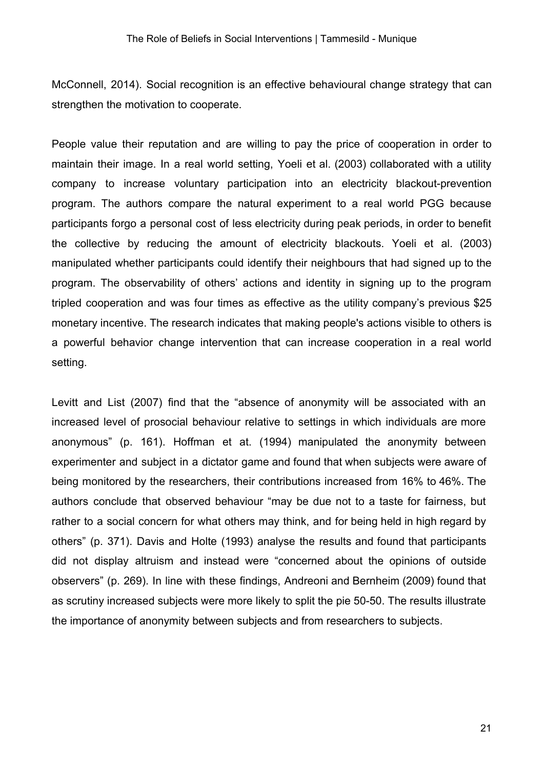McConnell, 2014). Social recognition is an effective behavioural change strategy that can strengthen the motivation to cooperate.

People value their reputation and are willing to pay the price of cooperation in order to maintain their image. In a real world setting, Yoeli et al. (2003) collaborated with a utility company to increase voluntary participation into an electricity blackout-prevention program. The authors compare the natural experiment to a real world PGG because participants forgo a personal cost of less electricity during peak periods, in order to benefit the collective by reducing the amount of electricity blackouts. Yoeli et al. (2003) manipulated whether participants could identify their neighbours that had signed up to the program. The observability of others' actions and identity in signing up to the program tripled cooperation and was four times as effective as the utility company's previous \$25 monetary incentive. The research indicates that making people's actions visible to others is a powerful behavior change intervention that can increase cooperation in a real world setting.

Levitt and List (2007) find that the "absence of anonymity will be associated with an increased level of prosocial behaviour relative to settings in which individuals are more anonymous" (p. 161). Hoffman et at. (1994) manipulated the anonymity between experimenter and subject in a dictator game and found that when subjects were aware of being monitored by the researchers, their contributions increased from 16% to 46%. The authors conclude that observed behaviour "may be due not to a taste for fairness, but rather to a social concern for what others may think, and for being held in high regard by others" (p. 371). Davis and Holte (1993) analyse the results and found that participants did not display altruism and instead were "concerned about the opinions of outside observers" (p. 269). In line with these findings, Andreoni and Bernheim (2009) found that as scrutiny increased subjects were more likely to split the pie 50-50. The results illustrate the importance of anonymity between subjects and from researchers to subjects.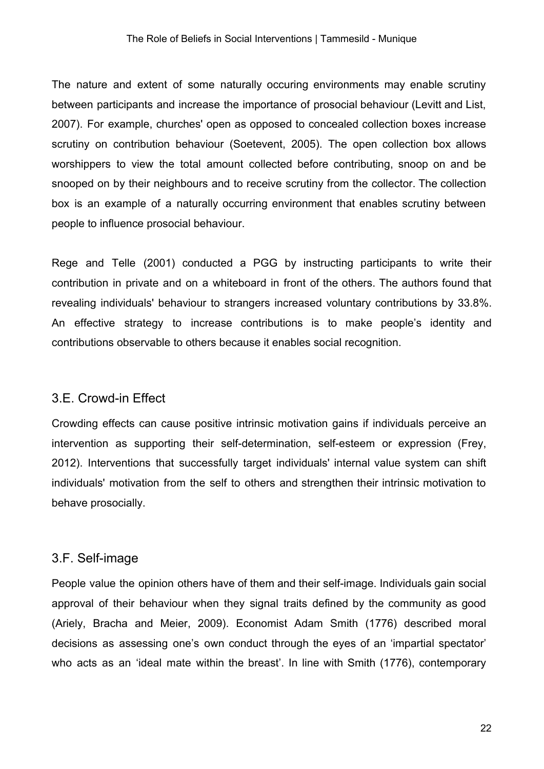The nature and extent of some naturally occuring environments may enable scrutiny between participants and increase the importance of prosocial behaviour (Levitt and List, 2007). For example, churches' open as opposed to concealed collection boxes increase scrutiny on contribution behaviour (Soetevent, 2005). The open collection box allows worshippers to view the total amount collected before contributing, snoop on and be snooped on by their neighbours and to receive scrutiny from the collector. The collection box is an example of a naturally occurring environment that enables scrutiny between people to influence prosocial behaviour.

Rege and Telle (2001) conducted a PGG by instructing participants to write their contribution in private and on a whiteboard in front of the others. The authors found that revealing individuals' behaviour to strangers increased voluntary contributions by 33.8%. An effective strategy to increase contributions is to make people's identity and contributions observable to others because it enables social recognition.

### <span id="page-21-0"></span>3.E. Crowd-in Effect

Crowding effects can cause positive intrinsic motivation gains if individuals perceive an intervention as supporting their self-determination, self-esteem or expression (Frey, 2012). Interventions that successfully target individuals' internal value system can shift individuals' motivation from the self to others and strengthen their intrinsic motivation to behave prosocially.

#### <span id="page-21-1"></span>3.F. Self-image

People value the opinion others have of them and their self-image. Individuals gain social approval of their behaviour when they signal traits defined by the community as good (Ariely, Bracha and Meier, 2009). Economist Adam Smith (1776) described moral decisions as assessing one's own conduct through the eyes of an 'impartial spectator' who acts as an 'ideal mate within the breast'. In line with Smith (1776), contemporary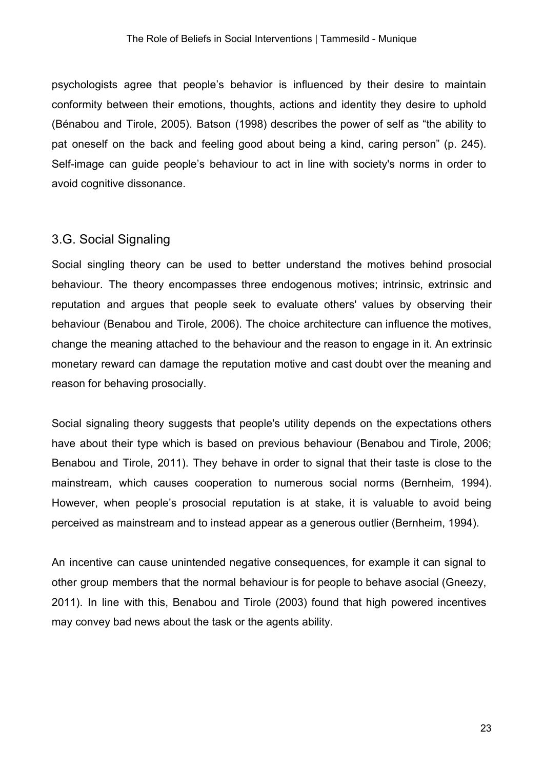psychologists agree that people's behavior is influenced by their desire to maintain conformity between their emotions, thoughts, actions and identity they desire to uphold (Bénabou and Tirole, 2005). Batson (1998) describes the power of self as "the ability to pat oneself on the back and feeling good about being a kind, caring person" (p. 245). Self-image can guide people's behaviour to act in line with society's norms in order to avoid cognitive dissonance.

#### <span id="page-22-0"></span>3.G. Social Signaling

Social singling theory can be used to better understand the motives behind prosocial behaviour. The theory encompasses three endogenous motives; intrinsic, extrinsic and reputation and argues that people seek to evaluate others' values by observing their behaviour (Benabou and Tirole, 2006). The choice architecture can influence the motives, change the meaning attached to the behaviour and the reason to engage in it. An extrinsic monetary reward can damage the reputation motive and cast doubt over the meaning and reason for behaving prosocially.

Social signaling theory suggests that people's utility depends on the expectations others have about their type which is based on previous behaviour (Benabou and Tirole, 2006; Benabou and Tirole, 2011). They behave in order to signal that their taste is close to the mainstream, which causes cooperation to numerous social norms (Bernheim, 1994). However, when people's prosocial reputation is at stake, it is valuable to avoid being perceived as mainstream and to instead appear as a generous outlier (Bernheim, 1994).

An incentive can cause unintended negative consequences, for example it can signal to other group members that the normal behaviour is for people to behave asocial (Gneezy, 2011). In line with this, Benabou and Tirole (2003) found that high powered incentives may convey bad news about the task or the agents ability.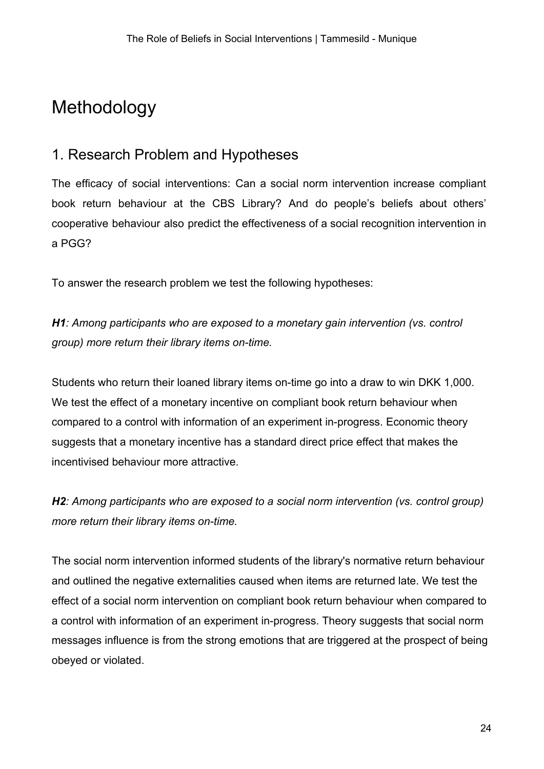# Methodology

# <span id="page-23-0"></span>1. Research Problem and Hypotheses

The efficacy of social interventions: Can a social norm intervention increase compliant book return behaviour at the CBS Library? And do people's beliefs about others' cooperative behaviour also predict the effectiveness of a social recognition intervention in a PGG?

To answer the research problem we test the following hypotheses:

*H1: Among participants who are exposed to a monetary gain intervention (vs. control group) more return their library items on-time.*

Students who return their loaned library items on-time go into a draw to win DKK 1,000. We test the effect of a monetary incentive on compliant book return behaviour when compared to a control with information of an experiment in-progress. Economic theory suggests that a monetary incentive has a standard direct price effect that makes the incentivised behaviour more attractive.

*H2: Among participants who are exposed to a social norm intervention (vs. control group) more return their library items on-time.*

The social norm intervention informed students of the library's normative return behaviour and outlined the negative externalities caused when items are returned late. We test the effect of a social norm intervention on compliant book return behaviour when compared to a control with information of an experiment in-progress. Theory suggests that social norm messages influence is from the strong emotions that are triggered at the prospect of being obeyed or violated.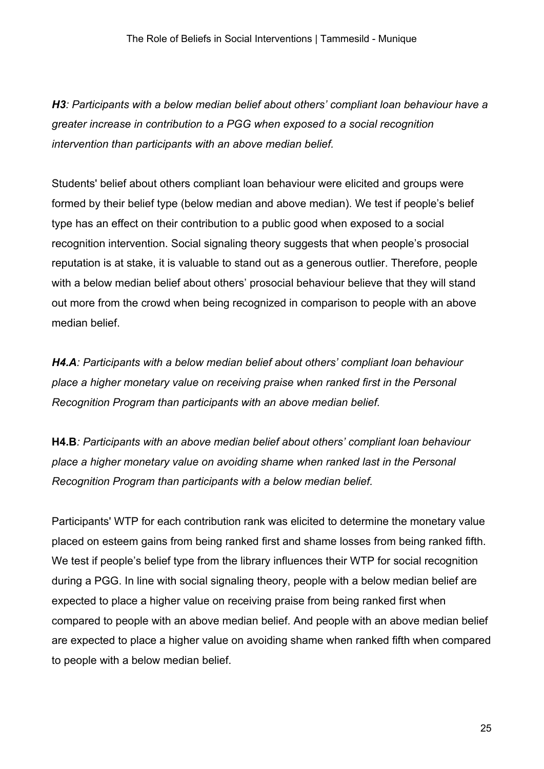*H3: Participants with a below median belief about others' compliant loan behaviour have a greater increase in contribution to a PGG when exposed to a social recognition intervention than participants with an above median belief.*

Students' belief about others compliant loan behaviour were elicited and groups were formed by their belief type (below median and above median). We test if people's belief type has an effect on their contribution to a public good when exposed to a social recognition intervention. Social signaling theory suggests that when people's prosocial reputation is at stake, it is valuable to stand out as a generous outlier. Therefore, people with a below median belief about others' prosocial behaviour believe that they will stand out more from the crowd when being recognized in comparison to people with an above median belief.

*H4.A: Participants with a below median belief about others' compliant loan behaviour place a higher monetary value on receiving praise when ranked first in the Personal Recognition Program than participants with an above median belief.*

**H4.B***: Participants with an above median belief about others' compliant loan behaviour place a higher monetary value on avoiding shame when ranked last in the Personal Recognition Program than participants with a below median belief.*

Participants' WTP for each contribution rank was elicited to determine the monetary value placed on esteem gains from being ranked first and shame losses from being ranked fifth. We test if people's belief type from the library influences their WTP for social recognition during a PGG. In line with social signaling theory, people with a below median belief are expected to place a higher value on receiving praise from being ranked first when compared to people with an above median belief. And people with an above median belief are expected to place a higher value on avoiding shame when ranked fifth when compared to people with a below median belief.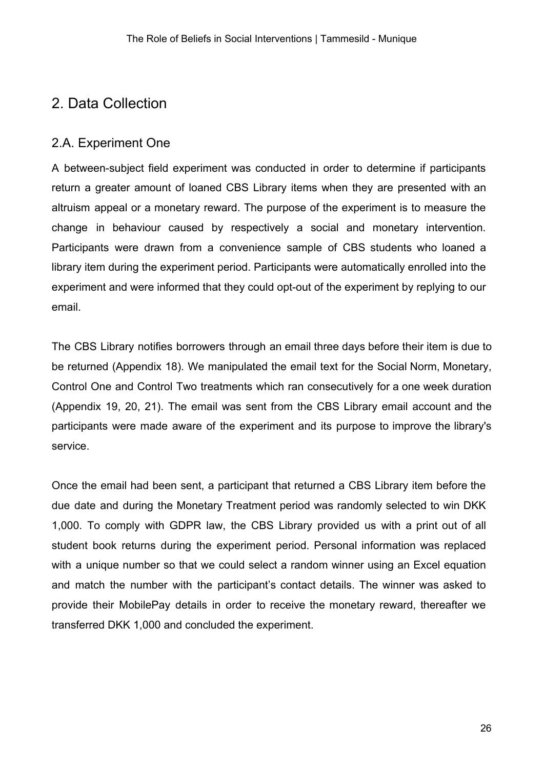# <span id="page-25-0"></span>2. Data Collection

## <span id="page-25-1"></span>2.A. Experiment One

A between-subject field experiment was conducted in order to determine if participants return a greater amount of loaned CBS Library items when they are presented with an altruism appeal or a monetary reward. The purpose of the experiment is to measure the change in behaviour caused by respectively a social and monetary intervention. Participants were drawn from a convenience sample of CBS students who loaned a library item during the experiment period. Participants were automatically enrolled into the experiment and were informed that they could opt-out of the experiment by replying to our email.

The CBS Library notifies borrowers through an email three days before their item is due to be returned (Appendix 18). We manipulated the email text for the Social Norm, Monetary, Control One and Control Two treatments which ran consecutively for a one week duration (Appendix 19, 20, 21). The email was sent from the CBS Library email account and the participants were made aware of the experiment and its purpose to improve the library's service.

Once the email had been sent, a participant that returned a CBS Library item before the due date and during the Monetary Treatment period was randomly selected to win DKK 1,000. To comply with GDPR law, the CBS Library provided us with a print out of all student book returns during the experiment period. Personal information was replaced with a unique number so that we could select a random winner using an Excel equation and match the number with the participant's contact details. The winner was asked to provide their MobilePay details in order to receive the monetary reward, thereafter we transferred DKK 1,000 and concluded the experiment.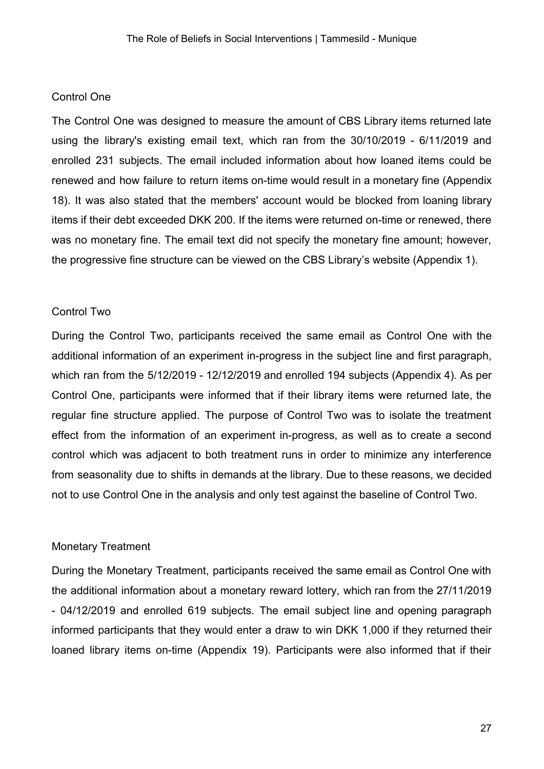#### <span id="page-26-0"></span>Control One

The Control One was designed to measure the amount of CBS Library items returned late using the library's existing email text, which ran from the 30/10/2019 - 6/11/2019 and enrolled 231 subjects. The email included information about how loaned items could be renewed and how failure to return items on-time would result in a monetary fine (Appendix 18). It was also stated that the members' account would be blocked from loaning library items if their debt exceeded DKK 200. If the items were returned on-time or renewed, there was no monetary fine. The email text did not specify the monetary fine amount; however, the progressive fine structure can be viewed on the CBS Library's website (Appendix 1).

#### <span id="page-26-1"></span>Control Two

During the Control Two, participants received the same email as Control One with the additional information of an experiment in-progress in the subject line and first paragraph, which ran from the 5/12/2019 - 12/12/2019 and enrolled 194 subjects (Appendix 4). As per Control One, participants were informed that if their library items were returned late, the regular fine structure applied. The purpose of Control Two was to isolate the treatment effect from the information of an experiment in-progress, as well as to create a second control which was adjacent to both treatment runs in order to minimize any interference from seasonality due to shifts in demands at the library. Due to these reasons, we decided not to use Control One in the analysis and only test against the baseline of Control Two.

#### <span id="page-26-2"></span>Monetary Treatment

During the Monetary Treatment, participants received the same email as Control One with the additional information about a monetary reward lottery, which ran from the 27/11/2019 - 04/12/2019 and enrolled 619 subjects. The email subject line and opening paragraph informed participants that they would enter a draw to win DKK 1,000 if they returned their loaned library items on-time (Appendix 19). Participants were also informed that if their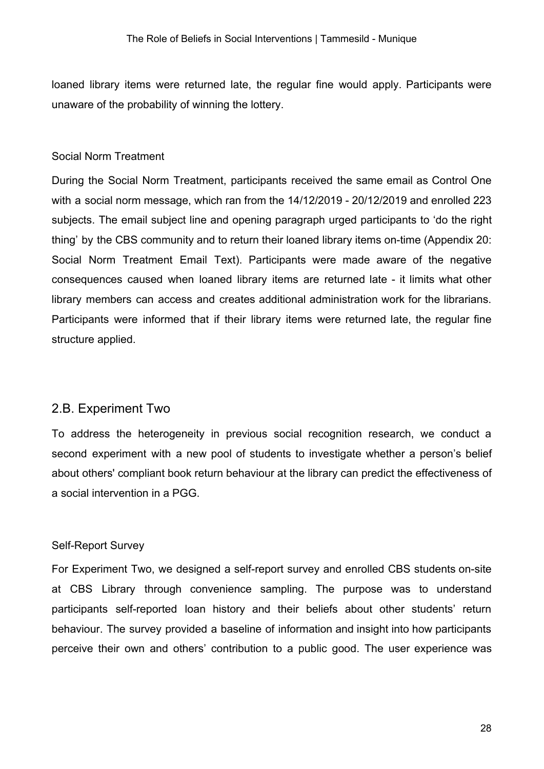loaned library items were returned late, the regular fine would apply. Participants were unaware of the probability of winning the lottery.

#### <span id="page-27-0"></span>Social Norm Treatment

During the Social Norm Treatment, participants received the same email as Control One with a social norm message, which ran from the 14/12/2019 - 20/12/2019 and enrolled 223 subjects. The email subject line and opening paragraph urged participants to 'do the right thing' by the CBS community and to return their loaned library items on-time (Appendix 20: Social Norm Treatment Email Text). Participants were made aware of the negative consequences caused when loaned library items are returned late - it limits what other library members can access and creates additional administration work for the librarians. Participants were informed that if their library items were returned late, the regular fine structure applied.

#### <span id="page-27-1"></span>2.B. Experiment Two

To address the heterogeneity in previous social recognition research, we conduct a second experiment with a new pool of students to investigate whether a person's belief about others' compliant book return behaviour at the library can predict the effectiveness of a social intervention in a PGG.

#### <span id="page-27-2"></span>Self-Report Survey

For Experiment Two, we designed a self-report survey and enrolled CBS students on-site at CBS Library through convenience sampling. The purpose was to understand participants self-reported loan history and their beliefs about other students' return behaviour. The survey provided a baseline of information and insight into how participants perceive their own and others' contribution to a public good. The user experience was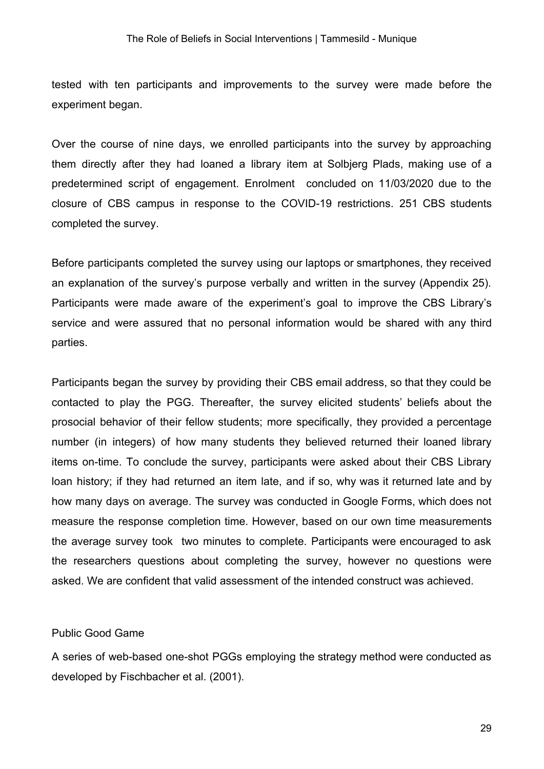tested with ten participants and improvements to the survey were made before the experiment began.

Over the course of nine days, we enrolled participants into the survey by approaching them directly after they had loaned a library item at Solbjerg Plads, making use of a predetermined script of engagement. Enrolment concluded on 11/03/2020 due to the closure of CBS campus in response to the COVID-19 restrictions. 251 CBS students completed the survey.

Before participants completed the survey using our laptops or smartphones, they received an explanation of the survey's purpose verbally and written in the survey (Appendix 25). Participants were made aware of the experiment's goal to improve the CBS Library's service and were assured that no personal information would be shared with any third parties.

Participants began the survey by providing their CBS email address, so that they could be contacted to play the PGG. Thereafter, the survey elicited students' beliefs about the prosocial behavior of their fellow students; more specifically, they provided a percentage number (in integers) of how many students they believed returned their loaned library items on-time. To conclude the survey, participants were asked about their CBS Library loan history; if they had returned an item late, and if so, why was it returned late and by how many days on average. The survey was conducted in Google Forms, which does not measure the response completion time. However, based on our own time measurements the average survey took two minutes to complete. Participants were encouraged to ask the researchers questions about completing the survey, however no questions were asked. We are confident that valid assessment of the intended construct was achieved.

#### <span id="page-28-0"></span>Public Good Game

A series of web-based one-shot PGGs employing the strategy method were conducted as developed by Fischbacher et al. (2001).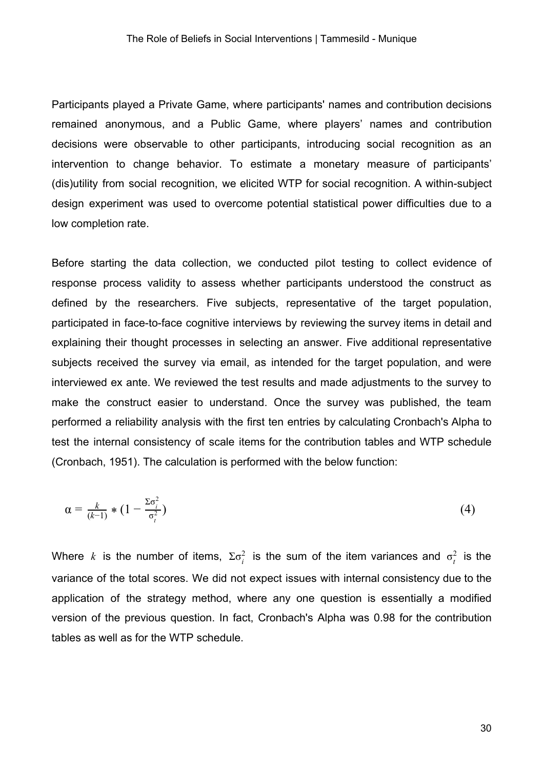Participants played a Private Game, where participants' names and contribution decisions remained anonymous, and a Public Game, where players' names and contribution decisions were observable to other participants, introducing social recognition as an intervention to change behavior. To estimate a monetary measure of participants' (dis)utility from social recognition, we elicited WTP for social recognition. A within-subject design experiment was used to overcome potential statistical power difficulties due to a low completion rate.

Before starting the data collection, we conducted pilot testing to collect evidence of response process validity to assess whether participants understood the construct as defined by the researchers. Five subjects, representative of the target population, participated in face-to-face cognitive interviews by reviewing the survey items in detail and explaining their thought processes in selecting an answer. Five additional representative subjects received the survey via email, as intended for the target population, and were interviewed ex ante. We reviewed the test results and made adjustments to the survey to make the construct easier to understand. Once the survey was published, the team performed a reliability analysis with the first ten entries by calculating Cronbach's Alpha to test the internal consistency of scale items for the contribution tables and WTP schedule (Cronbach, 1951). The calculation is performed with the below function:

$$
\alpha = \frac{k}{(k-1)} * (1 - \frac{\sum \sigma_i^2}{\sigma_i^2})
$$
\n(4)

Where *k* is the number of items,  $\Sigma \sigma_i^2$  is the sum of the item variances and  $\sigma_i^2$  is the variance of the total scores. We did not expect issues with internal consistency due to the application of the strategy method, where any one question is essentially a modified version of the previous question. In fact, Cronbach's Alpha was 0.98 for the contribution tables as well as for the WTP schedule.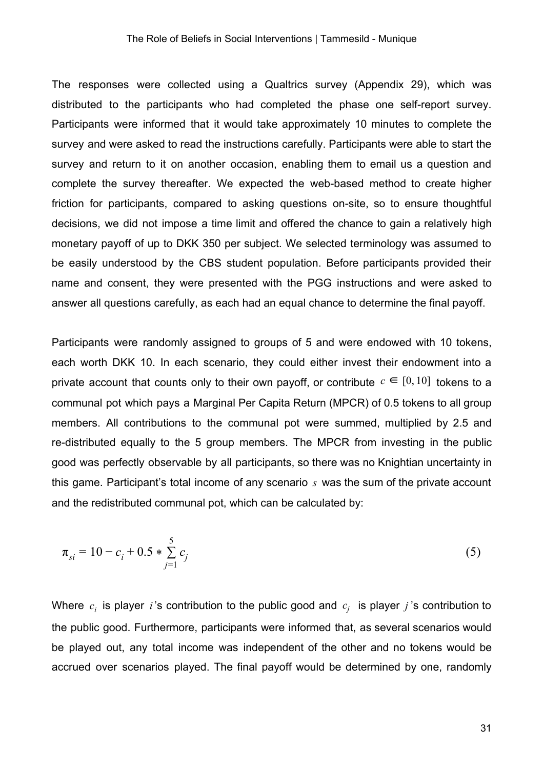The responses were collected using a Qualtrics survey (Appendix 29), which was distributed to the participants who had completed the phase one self-report survey. Participants were informed that it would take approximately 10 minutes to complete the survey and were asked to read the instructions carefully. Participants were able to start the survey and return to it on another occasion, enabling them to email us a question and complete the survey thereafter. We expected the web-based method to create higher friction for participants, compared to asking questions on-site, so to ensure thoughtful decisions, we did not impose a time limit and offered the chance to gain a relatively high monetary payoff of up to DKK 350 per subject. We selected terminology was assumed to be easily understood by the CBS student population. Before participants provided their name and consent, they were presented with the PGG instructions and were asked to answer all questions carefully, as each had an equal chance to determine the final payoff.

Participants were randomly assigned to groups of 5 and were endowed with 10 tokens, each worth DKK 10. In each scenario, they could either invest their endowment into a private account that counts only to their own payoff, or contribute  $c \in [0, 10]$  tokens to a communal pot which pays a Marginal Per Capita Return (MPCR) of 0.5 tokens to all group members. All contributions to the communal pot were summed, multiplied by 2.5 and re-distributed equally to the 5 group members. The MPCR from investing in the public good was perfectly observable by all participants, so there was no Knightian uncertainty in this game. Participant's total income of any scenario *s* was the sum of the private account and the redistributed communal pot, which can be calculated by:

$$
\pi_{si} = 10 - c_i + 0.5 * \sum_{j=1}^{5} c_j
$$
\n(5)

Where  $c_i$  is player *i*'s contribution to the public good and  $c_j$  is player *j*'s contribution to the public good. Furthermore, participants were informed that, as several scenarios would be played out, any total income was independent of the other and no tokens would be accrued over scenarios played. The final payoff would be determined by one, randomly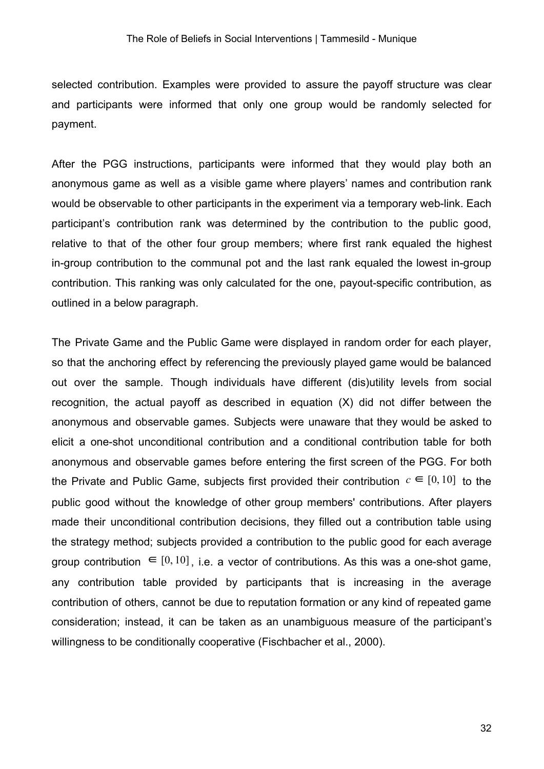selected contribution. Examples were provided to assure the payoff structure was clear and participants were informed that only one group would be randomly selected for payment.

After the PGG instructions, participants were informed that they would play both an anonymous game as well as a visible game where players' names and contribution rank would be observable to other participants in the experiment via a temporary web-link. Each participant's contribution rank was determined by the contribution to the public good, relative to that of the other four group members; where first rank equaled the highest in-group contribution to the communal pot and the last rank equaled the lowest in-group contribution. This ranking was only calculated for the one, payout-specific contribution, as outlined in a below paragraph.

The Private Game and the Public Game were displayed in random order for each player, so that the anchoring effect by referencing the previously played game would be balanced out over the sample. Though individuals have different (dis)utility levels from social recognition, the actual payoff as described in equation (X) did not differ between the anonymous and observable games. Subjects were unaware that they would be asked to elicit a one-shot unconditional contribution and a conditional contribution table for both anonymous and observable games before entering the first screen of the PGG. For both the Private and Public Game, subjects first provided their contribution  $c \in [0, 10]$  to the public good without the knowledge of other group members' contributions. After players made their unconditional contribution decisions, they filled out a contribution table using the strategy method; subjects provided a contribution to the public good for each average group contribution  $\in [0, 10]$ , i.e. a vector of contributions. As this was a one-shot game, any contribution table provided by participants that is increasing in the average contribution of others, cannot be due to reputation formation or any kind of repeated game consideration; instead, it can be taken as an unambiguous measure of the participant's willingness to be conditionally cooperative (Fischbacher et al., 2000).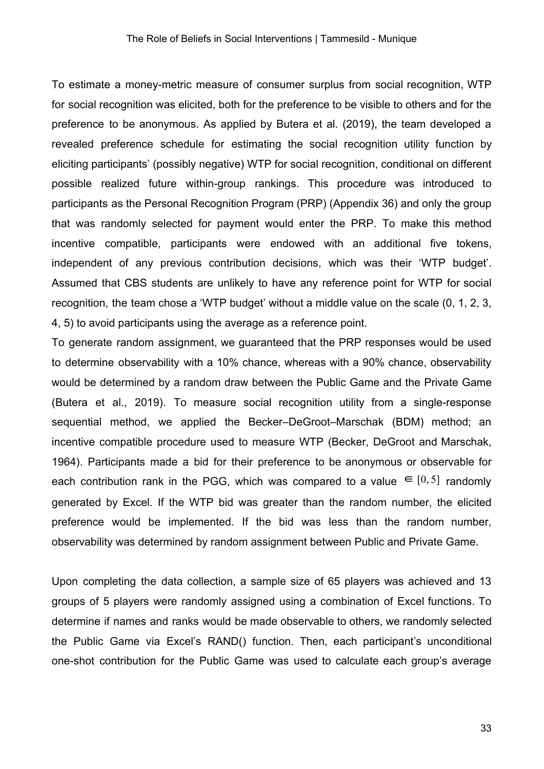To estimate a money-metric measure of consumer surplus from social recognition, WTP for social recognition was elicited, both for the preference to be visible to others and for the preference to be anonymous. As applied by Butera et al. (2019), the team developed a revealed preference schedule for estimating the social recognition utility function by eliciting participants' (possibly negative) WTP for social recognition, conditional on different possible realized future within-group rankings. This procedure was introduced to participants as the Personal Recognition Program (PRP) (Appendix 36) and only the group that was randomly selected for payment would enter the PRP. To make this method incentive compatible, participants were endowed with an additional five tokens, independent of any previous contribution decisions, which was their 'WTP budget'. Assumed that CBS students are unlikely to have any reference point for WTP for social recognition, the team chose a 'WTP budget' without a middle value on the scale (0, 1, 2, 3, 4, 5) to avoid participants using the average as a reference point.

To generate random assignment, we guaranteed that the PRP responses would be used to determine observability with a 10% chance, whereas with a 90% chance, observability would be determined by a random draw between the Public Game and the Private Game (Butera et al., 2019). To measure social recognition utility from a single-response sequential method, we applied the Becker–DeGroot–Marschak (BDM) method; an incentive compatible procedure used to measure WTP (Becker, DeGroot and Marschak, 1964). Participants made a bid for their preference to be anonymous or observable for each contribution rank in the PGG, which was compared to a value  $\in [0, 5]$  randomly generated by Excel. If the WTP bid was greater than the random number, the elicited preference would be implemented. If the bid was less than the random number, observability was determined by random assignment between Public and Private Game.

Upon completing the data collection, a sample size of 65 players was achieved and 13 groups of 5 players were randomly assigned using a combination of Excel functions. To determine if names and ranks would be made observable to others, we randomly selected the Public Game via Excel's RAND() function. Then, each participant's unconditional one-shot contribution for the Public Game was used to calculate each group's average

33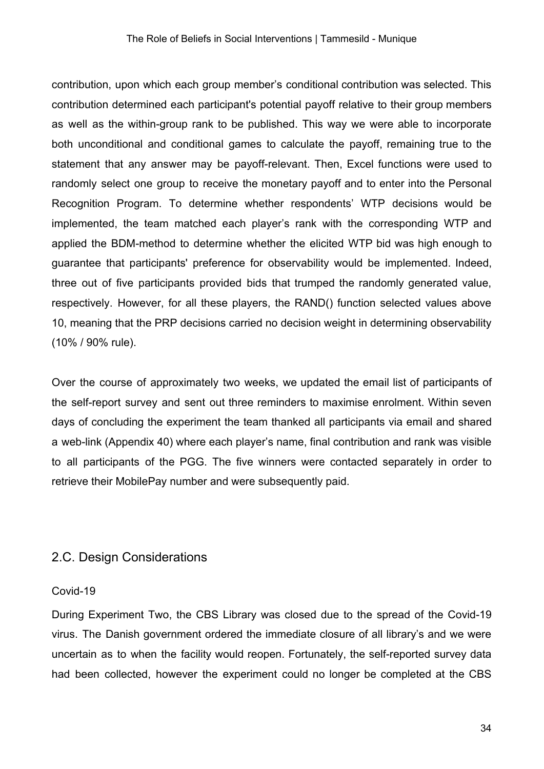contribution, upon which each group member's conditional contribution was selected. This contribution determined each participant's potential payoff relative to their group members as well as the within-group rank to be published. This way we were able to incorporate both unconditional and conditional games to calculate the payoff, remaining true to the statement that any answer may be payoff-relevant. Then, Excel functions were used to randomly select one group to receive the monetary payoff and to enter into the Personal Recognition Program. To determine whether respondents' WTP decisions would be implemented, the team matched each player's rank with the corresponding WTP and applied the BDM-method to determine whether the elicited WTP bid was high enough to guarantee that participants' preference for observability would be implemented. Indeed, three out of five participants provided bids that trumped the randomly generated value, respectively. However, for all these players, the RAND() function selected values above 10, meaning that the PRP decisions carried no decision weight in determining observability (10% / 90% rule).

Over the course of approximately two weeks, we updated the email list of participants of the self-report survey and sent out three reminders to maximise enrolment. Within seven days of concluding the experiment the team thanked all participants via email and shared a web-link (Appendix 40) where each player's name, final contribution and rank was visible to all participants of the PGG. The five winners were contacted separately in order to retrieve their MobilePay number and were subsequently paid.

### <span id="page-33-0"></span>2.C. Design Considerations

#### <span id="page-33-1"></span>Covid-19

During Experiment Two, the CBS Library was closed due to the spread of the Covid-19 virus. The Danish government ordered the immediate closure of all library's and we were uncertain as to when the facility would reopen. Fortunately, the self-reported survey data had been collected, however the experiment could no longer be completed at the CBS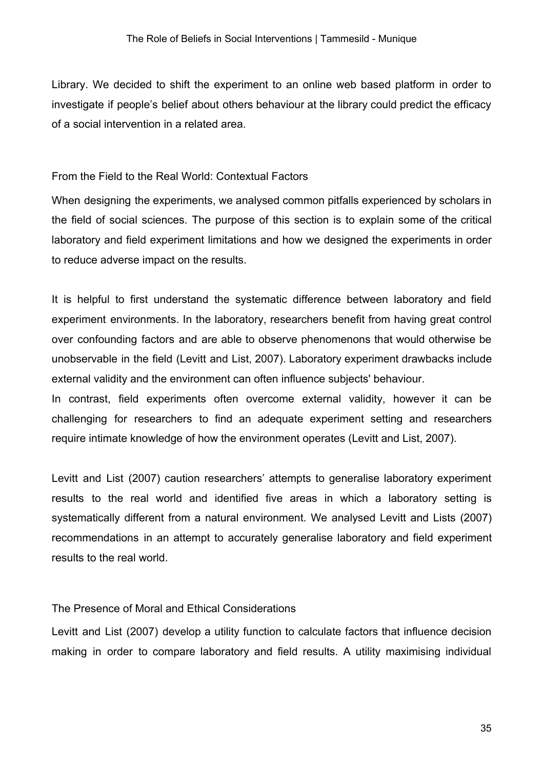Library. We decided to shift the experiment to an online web based platform in order to investigate if people's belief about others behaviour at the library could predict the efficacy of a social intervention in a related area.

<span id="page-34-0"></span>From the Field to the Real World: Contextual Factors

When designing the experiments, we analysed common pitfalls experienced by scholars in the field of social sciences. The purpose of this section is to explain some of the critical laboratory and field experiment limitations and how we designed the experiments in order to reduce adverse impact on the results.

It is helpful to first understand the systematic difference between laboratory and field experiment environments. In the laboratory, researchers benefit from having great control over confounding factors and are able to observe phenomenons that would otherwise be unobservable in the field (Levitt and List, 2007). Laboratory experiment drawbacks include external validity and the environment can often influence subjects' behaviour.

In contrast, field experiments often overcome external validity, however it can be challenging for researchers to find an adequate experiment setting and researchers require intimate knowledge of how the environment operates (Levitt and List, 2007).

Levitt and List (2007) caution researchers' attempts to generalise laboratory experiment results to the real world and identified five areas in which a laboratory setting is systematically different from a natural environment. We analysed Levitt and Lists (2007) recommendations in an attempt to accurately generalise laboratory and field experiment results to the real world.

#### <span id="page-34-1"></span>The Presence of Moral and Ethical Considerations

Levitt and List (2007) develop a utility function to calculate factors that influence decision making in order to compare laboratory and field results. A utility maximising individual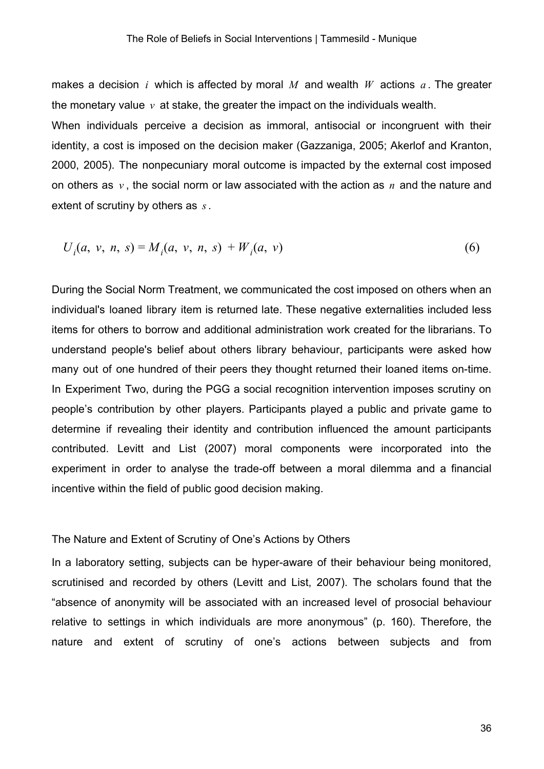makes a decision *i* which is affected by moral *M* and wealth *W* actions *a* . The greater the monetary value  $v$  at stake, the greater the impact on the individuals wealth.

When individuals perceive a decision as immoral, antisocial or incongruent with their identity, a cost is imposed on the decision maker (Gazzaniga, 2005; Akerlof and Kranton, 2000, 2005). The nonpecuniary moral outcome is impacted by the external cost imposed on others as *v* , the social norm or law associated with the action as *n* and the nature and extent of scrutiny by others as *s*.

$$
U_i(a, v, n, s) = M_i(a, v, n, s) + W_i(a, v)
$$
\n(6)

During the Social Norm Treatment, we communicated the cost imposed on others when an individual's loaned library item is returned late. These negative externalities included less items for others to borrow and additional administration work created for the librarians. To understand people's belief about others library behaviour, participants were asked how many out of one hundred of their peers they thought returned their loaned items on-time. In Experiment Two, during the PGG a social recognition intervention imposes scrutiny on people's contribution by other players. Participants played a public and private game to determine if revealing their identity and contribution influenced the amount participants contributed. Levitt and List (2007) moral components were incorporated into the experiment in order to analyse the trade-off between a moral dilemma and a financial incentive within the field of public good decision making.

#### <span id="page-35-0"></span>The Nature and Extent of Scrutiny of One's Actions by Others

In a laboratory setting, subjects can be hyper-aware of their behaviour being monitored, scrutinised and recorded by others (Levitt and List, 2007). The scholars found that the "absence of anonymity will be associated with an increased level of prosocial behaviour relative to settings in which individuals are more anonymous" (p. 160). Therefore, the nature and extent of scrutiny of one's actions between subjects and from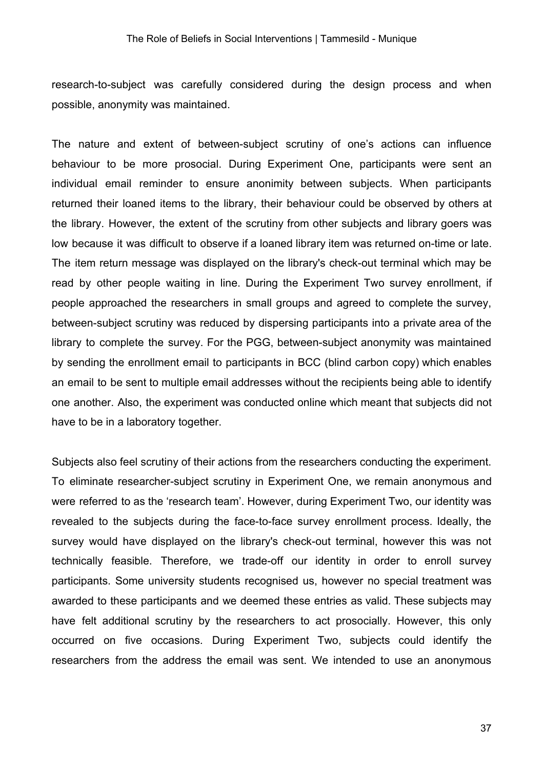research-to-subject was carefully considered during the design process and when possible, anonymity was maintained.

The nature and extent of between-subject scrutiny of one's actions can influence behaviour to be more prosocial. During Experiment One, participants were sent an individual email reminder to ensure anonimity between subjects. When participants returned their loaned items to the library, their behaviour could be observed by others at the library. However, the extent of the scrutiny from other subjects and library goers was low because it was difficult to observe if a loaned library item was returned on-time or late. The item return message was displayed on the library's check-out terminal which may be read by other people waiting in line. During the Experiment Two survey enrollment, if people approached the researchers in small groups and agreed to complete the survey, between-subject scrutiny was reduced by dispersing participants into a private area of the library to complete the survey. For the PGG, between-subject anonymity was maintained by sending the enrollment email to participants in BCC (blind carbon copy) which enables an email to be sent to multiple email addresses without the recipients being able to identify one another. Also, the experiment was conducted online which meant that subjects did not have to be in a laboratory together.

Subjects also feel scrutiny of their actions from the researchers conducting the experiment. To eliminate researcher-subject scrutiny in Experiment One, we remain anonymous and were referred to as the 'research team'. However, during Experiment Two, our identity was revealed to the subjects during the face-to-face survey enrollment process. Ideally, the survey would have displayed on the library's check-out terminal, however this was not technically feasible. Therefore, we trade-off our identity in order to enroll survey participants. Some university students recognised us, however no special treatment was awarded to these participants and we deemed these entries as valid. These subjects may have felt additional scrutiny by the researchers to act prosocially. However, this only occurred on five occasions. During Experiment Two, subjects could identify the researchers from the address the email was sent. We intended to use an anonymous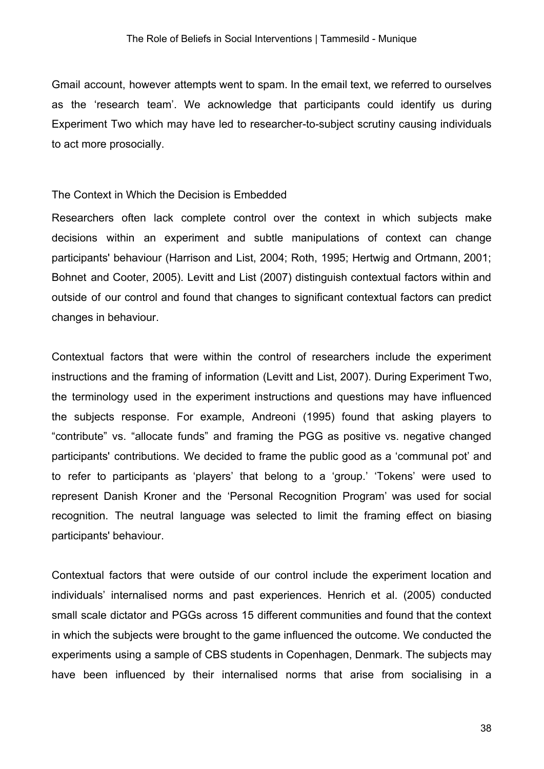Gmail account, however attempts went to spam. In the email text, we referred to ourselves as the 'research team'. We acknowledge that participants could identify us during Experiment Two which may have led to researcher-to-subject scrutiny causing individuals to act more prosocially.

#### The Context in Which the Decision is Embedded

Researchers often lack complete control over the context in which subjects make decisions within an experiment and subtle manipulations of context can change participants' behaviour (Harrison and List, 2004; Roth, 1995; Hertwig and Ortmann, 2001; Bohnet and Cooter, 2005). Levitt and List (2007) distinguish contextual factors within and outside of our control and found that changes to significant contextual factors can predict changes in behaviour.

Contextual factors that were within the control of researchers include the experiment instructions and the framing of information (Levitt and List, 2007). During Experiment Two, the terminology used in the experiment instructions and questions may have influenced the subjects response. For example, Andreoni (1995) found that asking players to "contribute" vs. "allocate funds" and framing the PGG as positive vs. negative changed participants' contributions. We decided to frame the public good as a 'communal pot' and to refer to participants as 'players' that belong to a 'group.' 'Tokens' were used to represent Danish Kroner and the 'Personal Recognition Program' was used for social recognition. The neutral language was selected to limit the framing effect on biasing participants' behaviour.

Contextual factors that were outside of our control include the experiment location and individuals' internalised norms and past experiences. Henrich et al. (2005) conducted small scale dictator and PGGs across 15 different communities and found that the context in which the subjects were brought to the game influenced the outcome. We conducted the experiments using a sample of CBS students in Copenhagen, Denmark. The subjects may have been influenced by their internalised norms that arise from socialising in a

38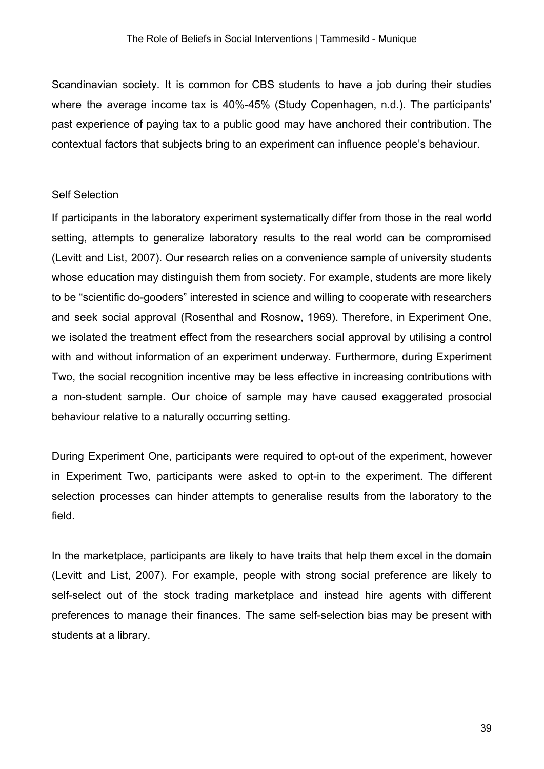Scandinavian society. It is common for CBS students to have a job during their studies where the average income tax is 40%-45% (Study Copenhagen, n.d.). The participants' past experience of paying tax to a public good may have anchored their contribution. The contextual factors that subjects bring to an experiment can influence people's behaviour.

#### Self Selection

If participants in the laboratory experiment systematically differ from those in the real world setting, attempts to generalize laboratory results to the real world can be compromised (Levitt and List, 2007). Our research relies on a convenience sample of university students whose education may distinguish them from society. For example, students are more likely to be "scientific do-gooders" interested in science and willing to cooperate with researchers and seek social approval (Rosenthal and Rosnow, 1969). Therefore, in Experiment One, we isolated the treatment effect from the researchers social approval by utilising a control with and without information of an experiment underway. Furthermore, during Experiment Two, the social recognition incentive may be less effective in increasing contributions with a non-student sample. Our choice of sample may have caused exaggerated prosocial behaviour relative to a naturally occurring setting.

During Experiment One, participants were required to opt-out of the experiment, however in Experiment Two, participants were asked to opt-in to the experiment. The different selection processes can hinder attempts to generalise results from the laboratory to the field.

In the marketplace, participants are likely to have traits that help them excel in the domain (Levitt and List, 2007). For example, people with strong social preference are likely to self-select out of the stock trading marketplace and instead hire agents with different preferences to manage their finances. The same self-selection bias may be present with students at a library.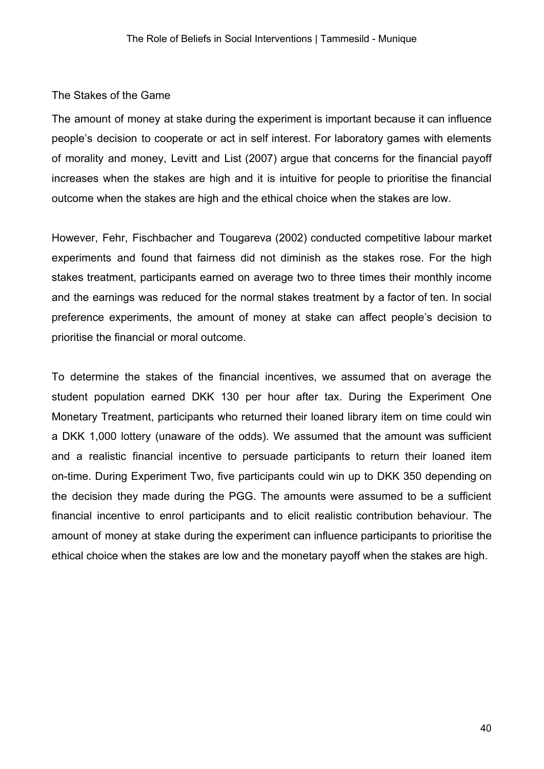#### The Stakes of the Game

The amount of money at stake during the experiment is important because it can influence people's decision to cooperate or act in self interest. For laboratory games with elements of morality and money, Levitt and List (2007) argue that concerns for the financial payoff increases when the stakes are high and it is intuitive for people to prioritise the financial outcome when the stakes are high and the ethical choice when the stakes are low.

However, Fehr, Fischbacher and Tougareva (2002) conducted competitive labour market experiments and found that fairness did not diminish as the stakes rose. For the high stakes treatment, participants earned on average two to three times their monthly income and the earnings was reduced for the normal stakes treatment by a factor of ten. In social preference experiments, the amount of money at stake can affect people's decision to prioritise the financial or moral outcome.

To determine the stakes of the financial incentives, we assumed that on average the student population earned DKK 130 per hour after tax. During the Experiment One Monetary Treatment, participants who returned their loaned library item on time could win a DKK 1,000 lottery (unaware of the odds). We assumed that the amount was sufficient and a realistic financial incentive to persuade participants to return their loaned item on-time. During Experiment Two, five participants could win up to DKK 350 depending on the decision they made during the PGG. The amounts were assumed to be a sufficient financial incentive to enrol participants and to elicit realistic contribution behaviour. The amount of money at stake during the experiment can influence participants to prioritise the ethical choice when the stakes are low and the monetary payoff when the stakes are high.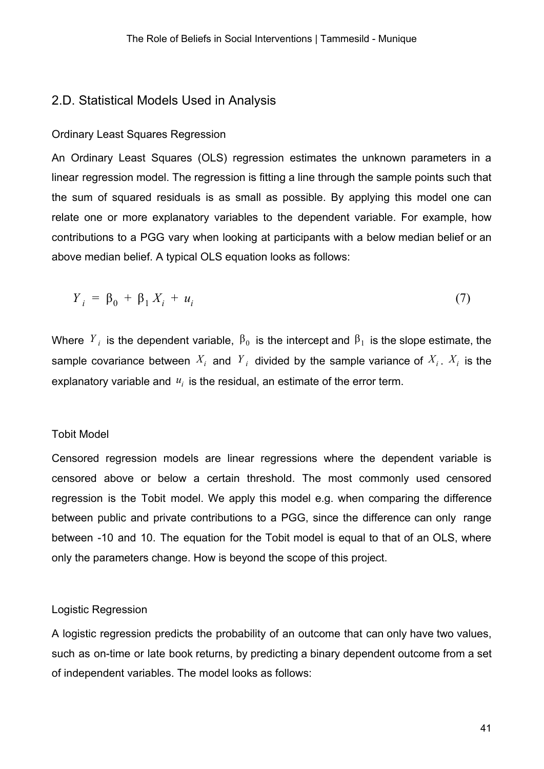#### 2.D. Statistical Models Used in Analysis

#### Ordinary Least Squares Regression

An Ordinary Least Squares (OLS) regression estimates the unknown parameters in a linear regression model. The regression is fitting a line through the sample points such that the sum of squared residuals is as small as possible. By applying this model one can relate one or more explanatory variables to the dependent variable. For example, how contributions to a PGG vary when looking at participants with a below median belief or an above median belief. A typical OLS equation looks as follows:

$$
Y_i = \beta_0 + \beta_1 X_i + u_i \tag{7}
$$

Where  $Y_i$  is the dependent variable,  $\beta_0$  is the intercept and  $\beta_1$  is the slope estimate, the sample covariance between  $X_i$  and  $Y_j$  divided by the sample variance of  $X_i$ .  $X_i$  is the explanatory variable and *ui* is the residual, an estimate of the error term.

#### Tobit Model

Censored regression models are linear regressions where the dependent variable is censored above or below a certain threshold. The most commonly used censored regression is the Tobit model. We apply this model e.g. when comparing the difference between public and private contributions to a PGG, since the difference can only range between -10 and 10. The equation for the Tobit model is equal to that of an OLS, where only the parameters change. How is beyond the scope of this project.

#### Logistic Regression

A logistic regression predicts the probability of an outcome that can only have two values, such as on-time or late book returns, by predicting a binary dependent outcome from a set of independent variables. The model looks as follows: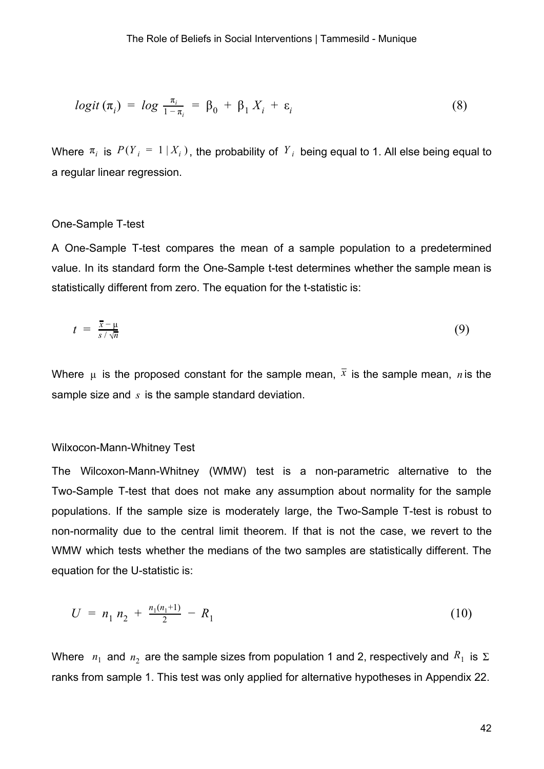$$
logit (\pi_i) = log \frac{\pi_i}{1 - \pi_i} = \beta_0 + \beta_1 X_i + \varepsilon_i
$$
 (8)

Where  $\pi_i$  is  $P(Y_i = 1 | X_i)$ , the probability of  $Y_i$  being equal to 1. All else being equal to a regular linear regression.

#### One-Sample T-test

A One-Sample T-test compares the mean of a sample population to a predetermined value. In its standard form the One-Sample t-test determines whether the sample mean is statistically different from zero. The equation for the t-statistic is:

$$
t = \frac{\overline{x} - \mu}{s / \sqrt{n}} \tag{9}
$$

Where  $\mu$  is the proposed constant for the sample mean,  $\bar{x}$  is the sample mean, *n* is the sample size and *s* is the sample standard deviation.

#### Wilxocon-Mann-Whitney Test

The Wilcoxon-Mann-Whitney (WMW) test is a non-parametric alternative to the Two-Sample T-test that does not make any assumption about normality for the sample populations. If the sample size is moderately large, the Two-Sample T-test is robust to non-normality due to the central limit theorem. If that is not the case, we revert to the WMW which tests whether the medians of the two samples are statistically different. The equation for the U-statistic is:

$$
U = n_1 n_2 + \frac{n_1(n_1+1)}{2} - R_1 \tag{10}
$$

Where  $n_1$  and  $n_2$  are the sample sizes from population 1 and 2, respectively and  $R_1$  is  $\Sigma$ ranks from sample 1. This test was only applied for alternative hypotheses in Appendix 22.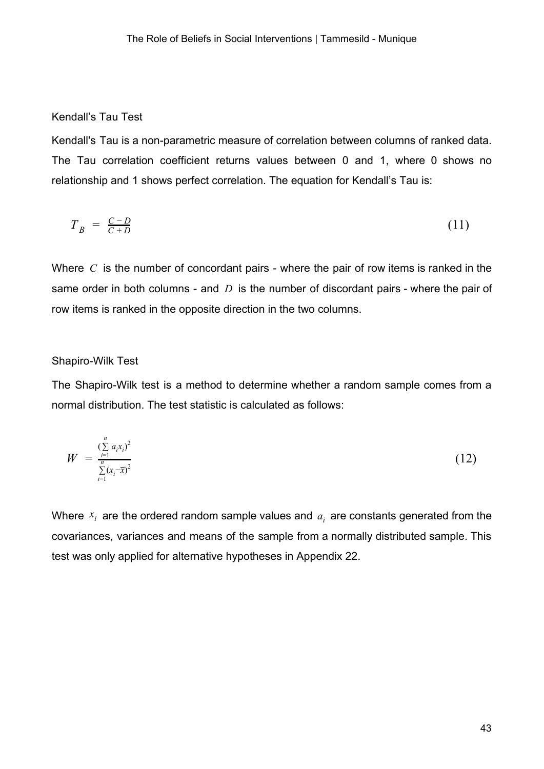#### Kendall's Tau Test

Kendall's Tau is a non-parametric measure of correlation between columns of ranked data. The Tau correlation coefficient returns values between 0 and 1, where 0 shows no relationship and 1 shows perfect correlation. The equation for Kendall's Tau is:

$$
T_B = \frac{C - D}{C + D} \tag{11}
$$

Where *C* is the number of concordant pairs - where the pair of row items is ranked in the same order in both columns - and *D* is the number of discordant pairs - where the pair of row items is ranked in the opposite direction in the two columns.

#### Shapiro-Wilk Test

The Shapiro-Wilk test is a method to determine whether a random sample comes from a normal distribution. The test statistic is calculated as follows:

$$
W = \frac{\sum_{i=1}^{n} a_i x_i^2}{\sum_{i=1}^{n} (x_i - \overline{x})^2}
$$
 (12)

Where  $x_i$  are the ordered random sample values and  $a_i$  are constants generated from the covariances, variances and means of the sample from a normally distributed sample. This test was only applied for alternative hypotheses in Appendix 22.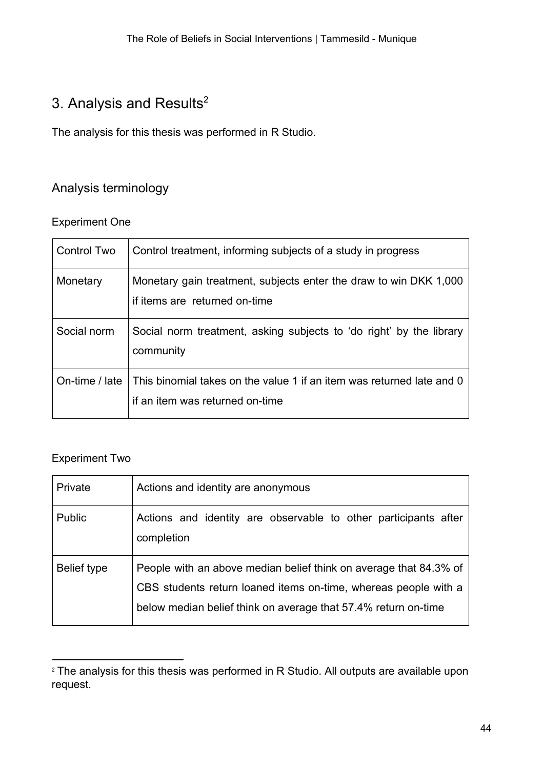## 3. Analysis and Results $2$

The analysis for this thesis was performed in R Studio.

## Analysis terminology

#### Experiment One

| <b>Control Two</b> | Control treatment, informing subjects of a study in progress                                             |
|--------------------|----------------------------------------------------------------------------------------------------------|
| Monetary           | Monetary gain treatment, subjects enter the draw to win DKK 1,000<br>if items are returned on-time       |
| Social norm        | Social norm treatment, asking subjects to 'do right' by the library<br>community                         |
| On-time / late     | This binomial takes on the value 1 if an item was returned late and 0<br>if an item was returned on-time |

### Experiment Two

| Private     | Actions and identity are anonymous                                                                                                                                                                     |
|-------------|--------------------------------------------------------------------------------------------------------------------------------------------------------------------------------------------------------|
| Public      | Actions and identity are observable to other participants after<br>completion                                                                                                                          |
| Belief type | People with an above median belief think on average that 84.3% of<br>CBS students return loaned items on-time, whereas people with a<br>below median belief think on average that 57.4% return on-time |

<sup>&</sup>lt;sup>2</sup> The analysis for this thesis was performed in R Studio. All outputs are available upon request.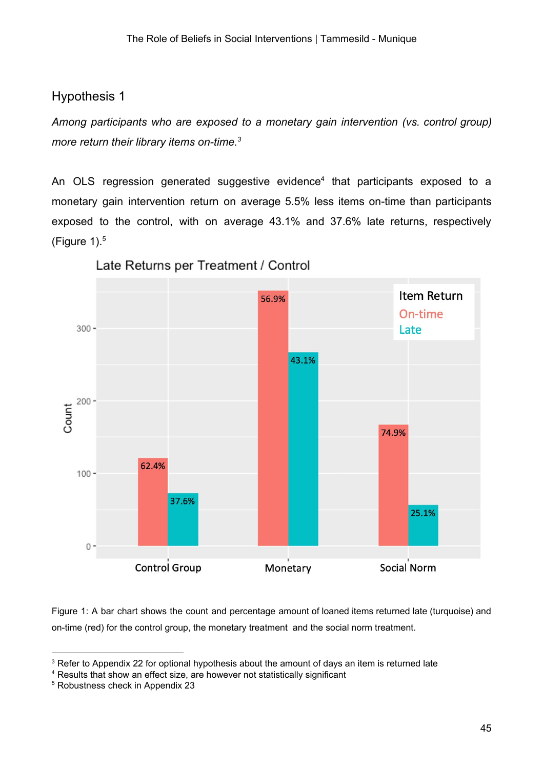### Hypothesis 1

*Among participants who are exposed to a monetary gain intervention (vs. control group) more return their library items on-time.<sup>3</sup>*

An OLS regression generated suggestive evidence<sup>4</sup> that participants exposed to a monetary gain intervention return on average 5.5% less items on-time than participants exposed to the control, with on average 43.1% and 37.6% late returns, respectively (Figure  $1$ ). $<sup>5</sup>$ </sup>



Late Returns per Treatment / Control

Figure 1: A bar chart shows the count and percentage amount of loaned items returned late (turquoise) and on-time (red) for the control group, the monetary treatment and the social norm treatment.

<sup>&</sup>lt;sup>3</sup> Refer to Appendix 22 for optional hypothesis about the amount of days an item is returned late

<sup>4</sup> Results that show an effect size, are however not statistically significant

<sup>5</sup> Robustness check in Appendix 23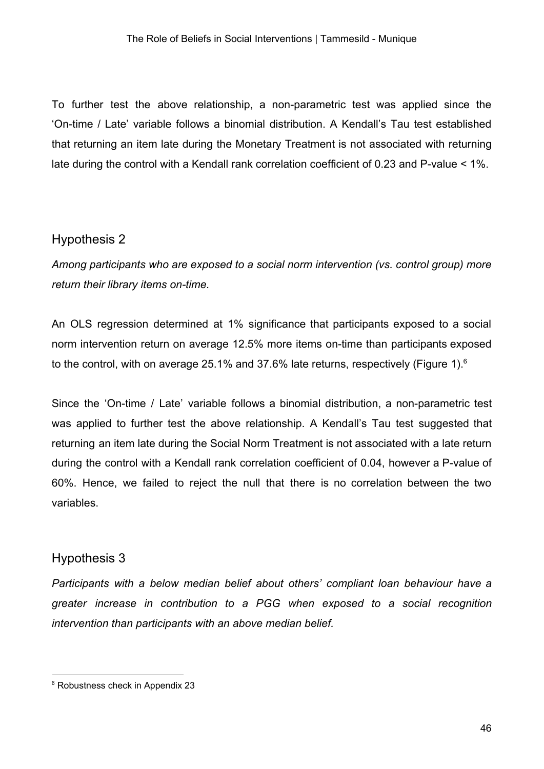To further test the above relationship, a non-parametric test was applied since the 'On-time / Late' variable follows a binomial distribution. A Kendall's Tau test established that returning an item late during the Monetary Treatment is not associated with returning late during the control with a Kendall rank correlation coefficient of 0.23 and P-value < 1%.

### Hypothesis 2

*Among participants who are exposed to a social norm intervention (vs. control group) more return their library items on-time.*

An OLS regression determined at 1% significance that participants exposed to a social norm intervention return on average 12.5% more items on-time than participants exposed to the control, with on average 25.1% and 37.6% late returns, respectively (Figure 1). $6$ 

Since the 'On-time / Late' variable follows a binomial distribution, a non-parametric test was applied to further test the above relationship. A Kendall's Tau test suggested that returning an item late during the Social Norm Treatment is not associated with a late return during the control with a Kendall rank correlation coefficient of 0.04, however a P-value of 60%. Hence, we failed to reject the null that there is no correlation between the two variables.

### Hypothesis 3

*Participants with a below median belief about others' compliant loan behaviour have a greater increase in contribution to a PGG when exposed to a social recognition intervention than participants with an above median belief.*

<sup>&</sup>lt;sup>6</sup> Robustness check in Appendix 23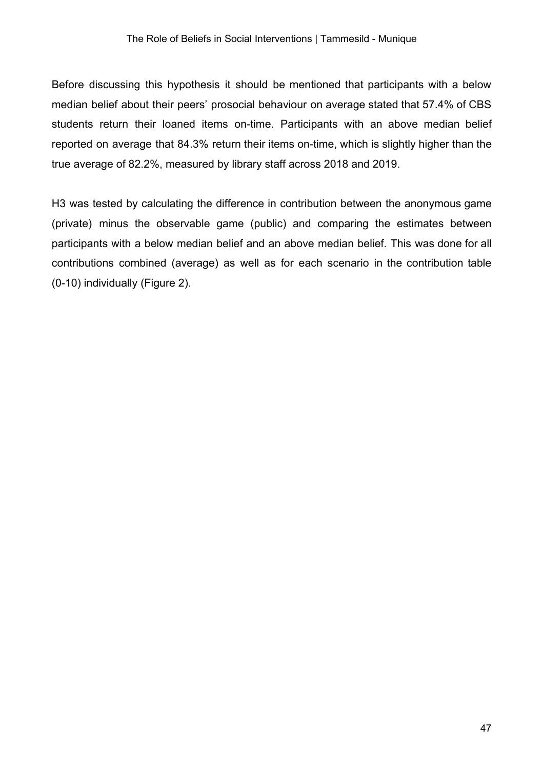Before discussing this hypothesis it should be mentioned that participants with a below median belief about their peers' prosocial behaviour on average stated that 57.4% of CBS students return their loaned items on-time. Participants with an above median belief reported on average that 84.3% return their items on-time, which is slightly higher than the true average of 82.2%, measured by library staff across 2018 and 2019.

H3 was tested by calculating the difference in contribution between the anonymous game (private) minus the observable game (public) and comparing the estimates between participants with a below median belief and an above median belief. This was done for all contributions combined (average) as well as for each scenario in the contribution table (0-10) individually (Figure 2).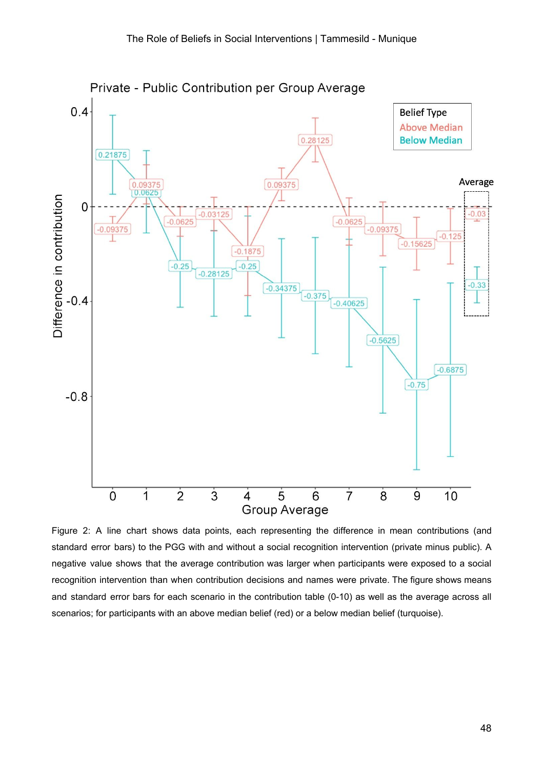

Figure 2: A line chart shows data points, each representing the difference in mean contributions (and standard error bars) to the PGG with and without a social recognition intervention (private minus public). A negative value shows that the average contribution was larger when participants were exposed to a social recognition intervention than when contribution decisions and names were private. The figure shows means and standard error bars for each scenario in the contribution table (0-10) as well as the average across all scenarios; for participants with an above median belief (red) or a below median belief (turquoise).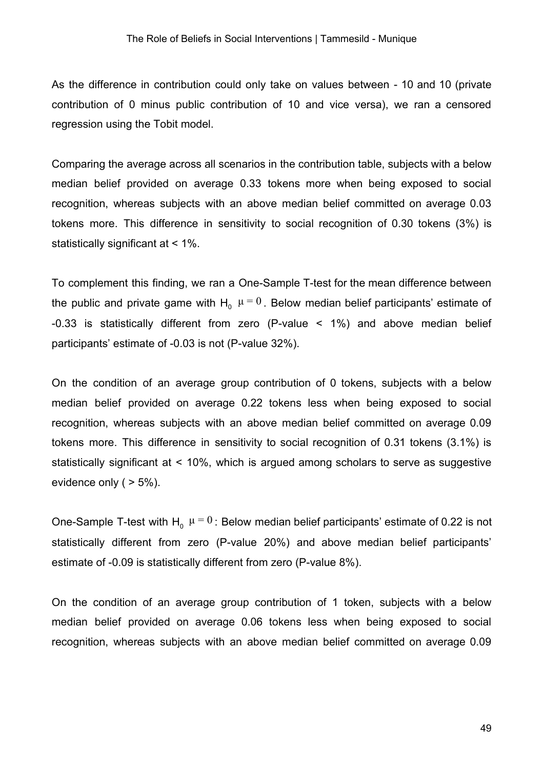As the difference in contribution could only take on values between - 10 and 10 (private contribution of 0 minus public contribution of 10 and vice versa), we ran a censored regression using the Tobit model.

Comparing the average across all scenarios in the contribution table, subjects with a below median belief provided on average 0.33 tokens more when being exposed to social recognition, whereas subjects with an above median belief committed on average 0.03 tokens more. This difference in sensitivity to social recognition of 0.30 tokens (3%) is statistically significant at < 1%.

To complement this finding, we ran a One-Sample T-test for the mean difference between the public and private game with H<sub>0</sub>  $\mu = 0$  . Below median belief participants' estimate of -0.33 is statistically different from zero (P-value < 1%) and above median belief participants' estimate of -0.03 is not (P-value 32%).

On the condition of an average group contribution of 0 tokens, subjects with a below median belief provided on average 0.22 tokens less when being exposed to social recognition, whereas subjects with an above median belief committed on average 0.09 tokens more. This difference in sensitivity to social recognition of 0.31 tokens (3.1%) is statistically significant at < 10%, which is argued among scholars to serve as suggestive evidence only  $( > 5\%)$ .

One-Sample T-test with H<sub>0</sub>  $\mu$  =  $0$  : Below median belief participants' estimate of 0.22 is not statistically different from zero (P-value 20%) and above median belief participants' estimate of -0.09 is statistically different from zero (P-value 8%).

On the condition of an average group contribution of 1 token, subjects with a below median belief provided on average 0.06 tokens less when being exposed to social recognition, whereas subjects with an above median belief committed on average 0.09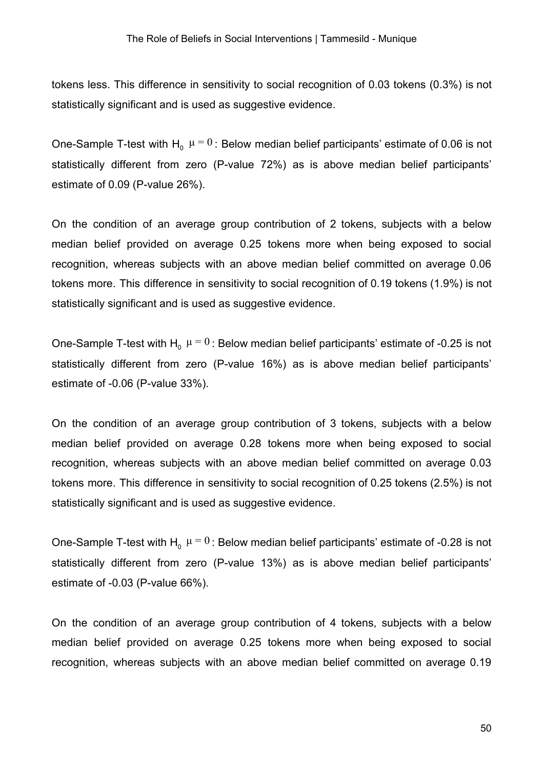tokens less. This difference in sensitivity to social recognition of 0.03 tokens (0.3%) is not statistically significant and is used as suggestive evidence.

One-Sample T-test with H<sub>0</sub>  $\mu$  =  $0$  : Below median belief participants' estimate of 0.06 is not statistically different from zero (P-value 72%) as is above median belief participants' estimate of 0.09 (P-value 26%).

On the condition of an average group contribution of 2 tokens, subjects with a below median belief provided on average 0.25 tokens more when being exposed to social recognition, whereas subjects with an above median belief committed on average 0.06 tokens more. This difference in sensitivity to social recognition of 0.19 tokens (1.9%) is not statistically significant and is used as suggestive evidence.

One-Sample T-test with H<sub>0</sub>  $\mu$  =  $0$  : Below median belief participants' estimate of -0.25 is not statistically different from zero (P-value 16%) as is above median belief participants' estimate of -0.06 (P-value 33%).

On the condition of an average group contribution of 3 tokens, subjects with a below median belief provided on average 0.28 tokens more when being exposed to social recognition, whereas subjects with an above median belief committed on average 0.03 tokens more. This difference in sensitivity to social recognition of 0.25 tokens (2.5%) is not statistically significant and is used as suggestive evidence.

One-Sample T-test with H<sub>0</sub>  $\mu$  =  $0$  : Below median belief participants' estimate of -0.28 is not statistically different from zero (P-value 13%) as is above median belief participants' estimate of -0.03 (P-value 66%).

On the condition of an average group contribution of 4 tokens, subjects with a below median belief provided on average 0.25 tokens more when being exposed to social recognition, whereas subjects with an above median belief committed on average 0.19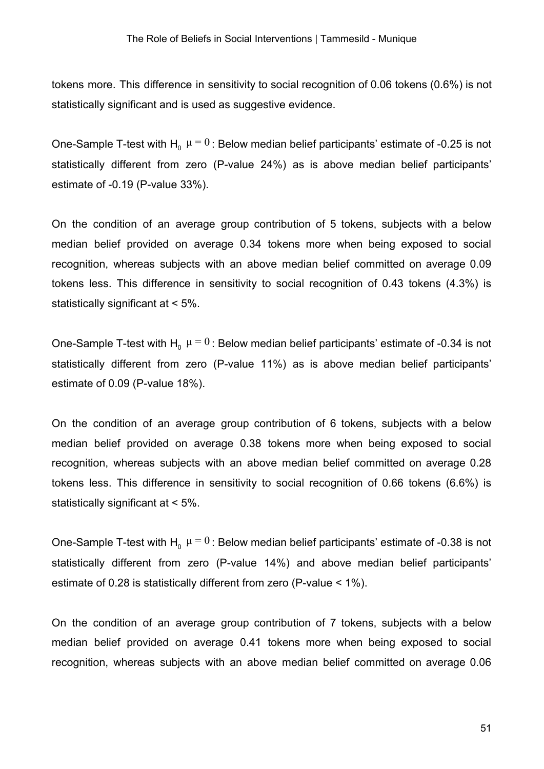tokens more. This difference in sensitivity to social recognition of 0.06 tokens (0.6%) is not statistically significant and is used as suggestive evidence.

One-Sample T-test with H<sub>0</sub>  $\mu$  =  $0$  : Below median belief participants' estimate of -0.25 is not statistically different from zero (P-value 24%) as is above median belief participants' estimate of -0.19 (P-value 33%).

On the condition of an average group contribution of 5 tokens, subjects with a below median belief provided on average 0.34 tokens more when being exposed to social recognition, whereas subjects with an above median belief committed on average 0.09 tokens less. This difference in sensitivity to social recognition of 0.43 tokens (4.3%) is statistically significant at < 5%.

One-Sample T-test with H<sub>0</sub>  $\mu$  =  $0$  : Below median belief participants' estimate of -0.34 is not statistically different from zero (P-value 11%) as is above median belief participants' estimate of 0.09 (P-value 18%).

On the condition of an average group contribution of 6 tokens, subjects with a below median belief provided on average 0.38 tokens more when being exposed to social recognition, whereas subjects with an above median belief committed on average 0.28 tokens less. This difference in sensitivity to social recognition of 0.66 tokens (6.6%) is statistically significant at < 5%.

One-Sample T-test with H<sub>0</sub>  $\mu$  =  $0$  : Below median belief participants' estimate of -0.38 is not statistically different from zero (P-value 14%) and above median belief participants' estimate of 0.28 is statistically different from zero (P-value < 1%).

On the condition of an average group contribution of 7 tokens, subjects with a below median belief provided on average 0.41 tokens more when being exposed to social recognition, whereas subjects with an above median belief committed on average 0.06

51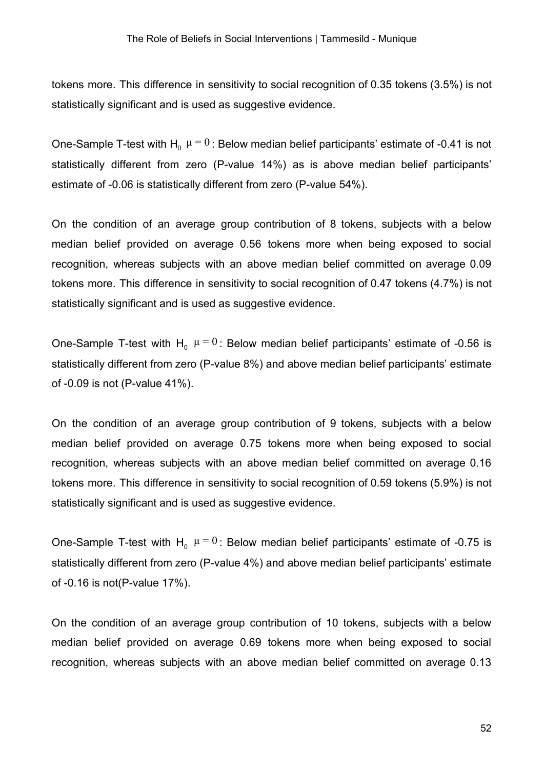tokens more. This difference in sensitivity to social recognition of 0.35 tokens (3.5%) is not statistically significant and is used as suggestive evidence.

One-Sample T-test with H<sub>0</sub>  $\mu$  =  $0$  : Below median belief participants' estimate of -0.41 is not statistically different from zero (P-value 14%) as is above median belief participants' estimate of -0.06 is statistically different from zero (P-value 54%).

On the condition of an average group contribution of 8 tokens, subjects with a below median belief provided on average 0.56 tokens more when being exposed to social recognition, whereas subjects with an above median belief committed on average 0.09 tokens more. This difference in sensitivity to social recognition of 0.47 tokens (4.7%) is not statistically significant and is used as suggestive evidence.

One-Sample T-test with  $H_0$   $\mu = 0$ : Below median belief participants' estimate of -0.56 is statistically different from zero (P-value 8%) and above median belief participants' estimate of -0.09 is not (P-value 41%).

On the condition of an average group contribution of 9 tokens, subjects with a below median belief provided on average 0.75 tokens more when being exposed to social recognition, whereas subjects with an above median belief committed on average 0.16 tokens more. This difference in sensitivity to social recognition of 0.59 tokens (5.9%) is not statistically significant and is used as suggestive evidence.

One-Sample T-test with  $H_0$   $\mu = 0$ : Below median belief participants' estimate of -0.75 is statistically different from zero (P-value 4%) and above median belief participants' estimate of -0.16 is not(P-value 17%).

On the condition of an average group contribution of 10 tokens, subjects with a below median belief provided on average 0.69 tokens more when being exposed to social recognition, whereas subjects with an above median belief committed on average 0.13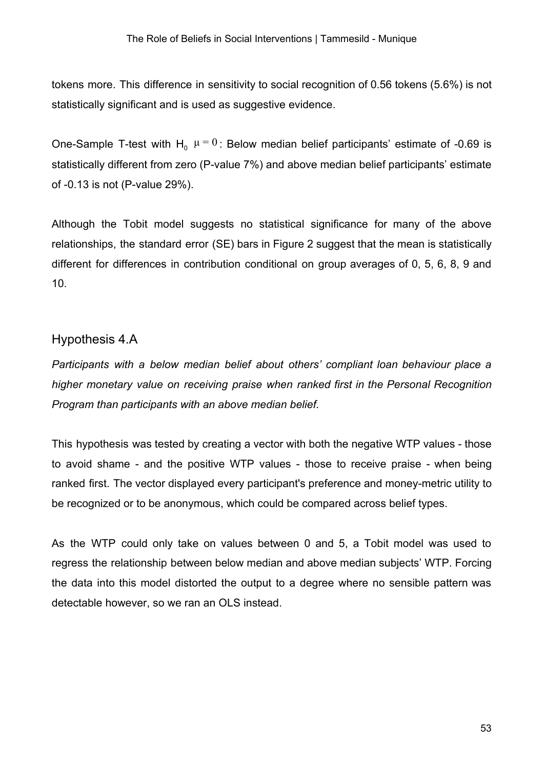tokens more. This difference in sensitivity to social recognition of 0.56 tokens (5.6%) is not statistically significant and is used as suggestive evidence.

One-Sample T-test with  $H_0$   $\mu = 0$ : Below median belief participants' estimate of -0.69 is statistically different from zero (P-value 7%) and above median belief participants' estimate of -0.13 is not (P-value 29%).

Although the Tobit model suggests no statistical significance for many of the above relationships, the standard error (SE) bars in Figure 2 suggest that the mean is statistically different for differences in contribution conditional on group averages of 0, 5, 6, 8, 9 and 10.

#### Hypothesis 4.A

*Participants with a below median belief about others' compliant loan behaviour place a higher monetary value on receiving praise when ranked first in the Personal Recognition Program than participants with an above median belief.*

This hypothesis was tested by creating a vector with both the negative WTP values - those to avoid shame - and the positive WTP values - those to receive praise - when being ranked first. The vector displayed every participant's preference and money-metric utility to be recognized or to be anonymous, which could be compared across belief types.

As the WTP could only take on values between 0 and 5, a Tobit model was used to regress the relationship between below median and above median subjects' WTP. Forcing the data into this model distorted the output to a degree where no sensible pattern was detectable however, so we ran an OLS instead.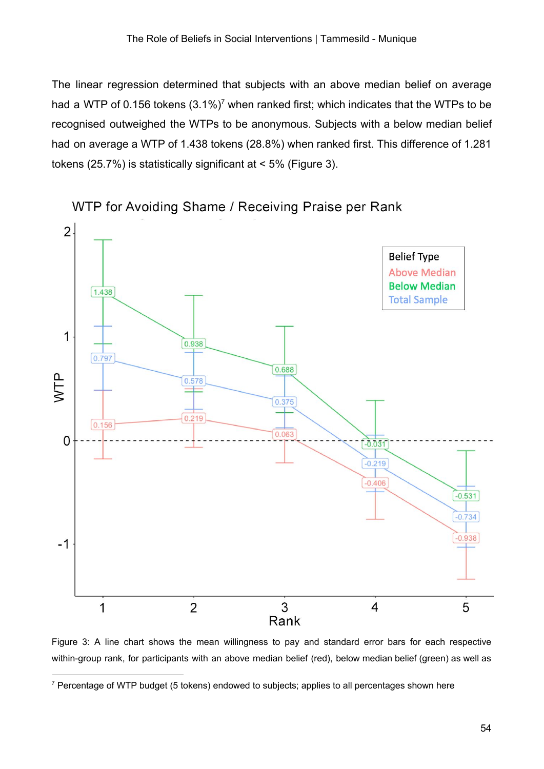The linear regression determined that subjects with an above median belief on average had a WTP of 0.156 tokens  $(3.1\%)^7$  when ranked first; which indicates that the WTPs to be recognised outweighed the WTPs to be anonymous. Subjects with a below median belief had on average a WTP of 1.438 tokens (28.8%) when ranked first. This difference of 1.281 tokens (25.7%) is statistically significant at < 5% (Figure 3).



WTP for Avoiding Shame / Receiving Praise per Rank

Figure 3: A line chart shows the mean willingness to pay and standard error bars for each respective within-group rank, for participants with an above median belief (red), below median belief (green) as well as

<sup>&</sup>lt;sup>7</sup> Percentage of WTP budget (5 tokens) endowed to subjects; applies to all percentages shown here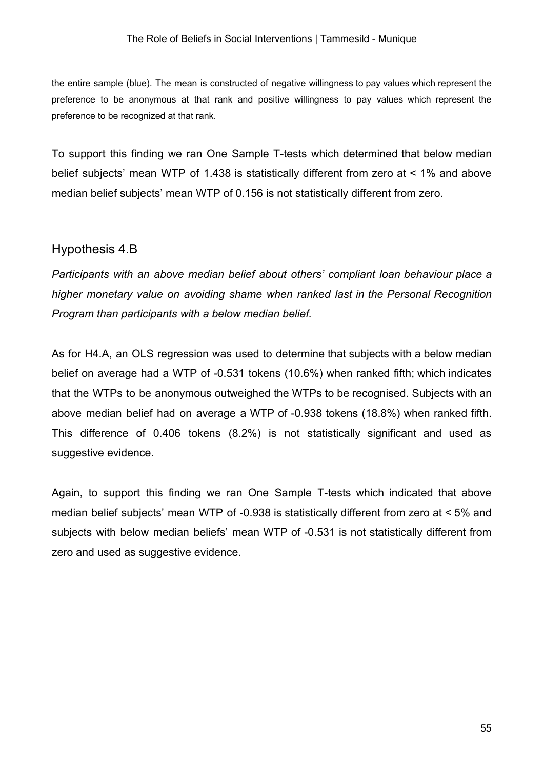the entire sample (blue). The mean is constructed of negative willingness to pay values which represent the preference to be anonymous at that rank and positive willingness to pay values which represent the preference to be recognized at that rank.

To support this finding we ran One Sample T-tests which determined that below median belief subjects' mean WTP of 1.438 is statistically different from zero at < 1% and above median belief subjects' mean WTP of 0.156 is not statistically different from zero.

#### Hypothesis 4.B

*Participants with an above median belief about others' compliant loan behaviour place a higher monetary value on avoiding shame when ranked last in the Personal Recognition Program than participants with a below median belief.*

As for H4.A, an OLS regression was used to determine that subjects with a below median belief on average had a WTP of -0.531 tokens (10.6%) when ranked fifth; which indicates that the WTPs to be anonymous outweighed the WTPs to be recognised. Subjects with an above median belief had on average a WTP of -0.938 tokens (18.8%) when ranked fifth. This difference of 0.406 tokens (8.2%) is not statistically significant and used as suggestive evidence.

Again, to support this finding we ran One Sample T-tests which indicated that above median belief subjects' mean WTP of -0.938 is statistically different from zero at < 5% and subjects with below median beliefs' mean WTP of -0.531 is not statistically different from zero and used as suggestive evidence.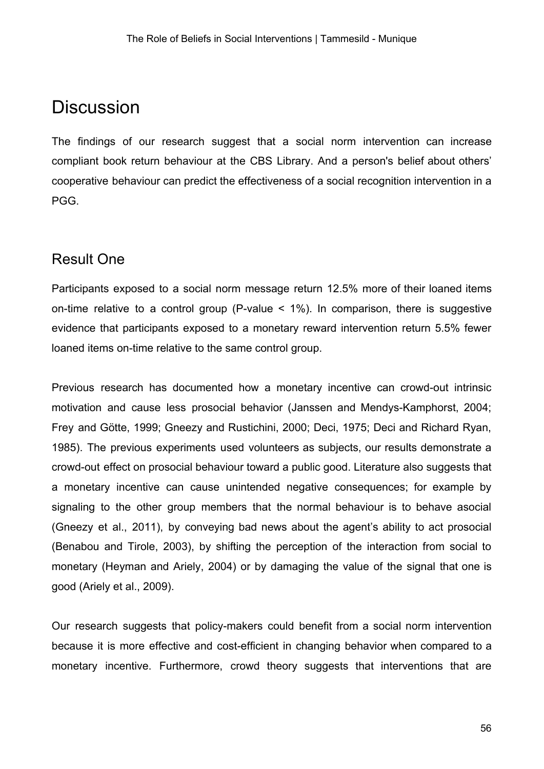## **Discussion**

The findings of our research suggest that a social norm intervention can increase compliant book return behaviour at the CBS Library. And a person's belief about others' cooperative behaviour can predict the effectiveness of a social recognition intervention in a PGG.

## Result One

Participants exposed to a social norm message return 12.5% more of their loaned items on-time relative to a control group (P-value < 1%). In comparison, there is suggestive evidence that participants exposed to a monetary reward intervention return 5.5% fewer loaned items on-time relative to the same control group.

Previous research has documented how a monetary incentive can crowd-out intrinsic motivation and cause less prosocial behavior (Janssen and Mendys-Kamphorst, 2004; Frey and Götte, 1999; Gneezy and Rustichini, 2000; Deci, 1975; Deci and Richard Ryan, 1985). The previous experiments used volunteers as subjects, our results demonstrate a crowd-out effect on prosocial behaviour toward a public good. Literature also suggests that a monetary incentive can cause unintended negative consequences; for example by signaling to the other group members that the normal behaviour is to behave asocial (Gneezy et al., 2011), by conveying bad news about the agent's ability to act prosocial (Benabou and Tirole, 2003), by shifting the perception of the interaction from social to monetary (Heyman and Ariely, 2004) or by damaging the value of the signal that one is good (Ariely et al., 2009).

Our research suggests that policy-makers could benefit from a social norm intervention because it is more effective and cost-efficient in changing behavior when compared to a monetary incentive. Furthermore, crowd theory suggests that interventions that are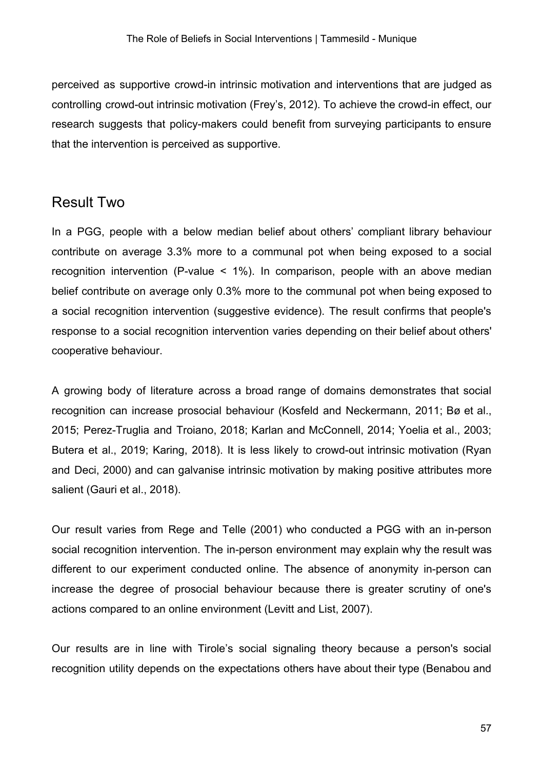perceived as supportive crowd-in intrinsic motivation and interventions that are judged as controlling crowd-out intrinsic motivation (Frey's, 2012). To achieve the crowd-in effect, our research suggests that policy-makers could benefit from surveying participants to ensure that the intervention is perceived as supportive.

## Result Two

In a PGG, people with a below median belief about others' compliant library behaviour contribute on average 3.3% more to a communal pot when being exposed to a social recognition intervention (P-value < 1%). In comparison, people with an above median belief contribute on average only 0.3% more to the communal pot when being exposed to a social recognition intervention (suggestive evidence). The result confirms that people's response to a social recognition intervention varies depending on their belief about others' cooperative behaviour.

A growing body of literature across a broad range of domains demonstrates that social recognition can increase prosocial behaviour (Kosfeld and Neckermann, 2011; Bø et al., 2015; Perez-Truglia and Troiano, 2018; Karlan and McConnell, 2014; Yoelia et al., 2003; Butera et al., 2019; Karing, 2018). It is less likely to crowd-out intrinsic motivation (Ryan and Deci, 2000) and can galvanise intrinsic motivation by making positive attributes more salient (Gauri et al., 2018).

Our result varies from Rege and Telle (2001) who conducted a PGG with an in-person social recognition intervention. The in-person environment may explain why the result was different to our experiment conducted online. The absence of anonymity in-person can increase the degree of prosocial behaviour because there is greater scrutiny of one's actions compared to an online environment (Levitt and List, 2007).

Our results are in line with Tirole's social signaling theory because a person's social recognition utility depends on the expectations others have about their type (Benabou and

57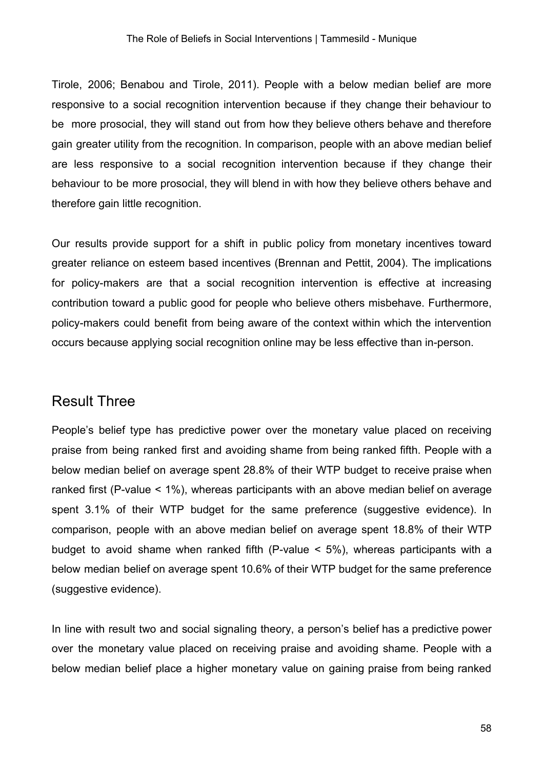Tirole, 2006; Benabou and Tirole, 2011). People with a below median belief are more responsive to a social recognition intervention because if they change their behaviour to be more prosocial, they will stand out from how they believe others behave and therefore gain greater utility from the recognition. In comparison, people with an above median belief are less responsive to a social recognition intervention because if they change their behaviour to be more prosocial, they will blend in with how they believe others behave and therefore gain little recognition.

Our results provide support for a shift in public policy from monetary incentives toward greater reliance on esteem based incentives (Brennan and Pettit, 2004). The implications for policy-makers are that a social recognition intervention is effective at increasing contribution toward a public good for people who believe others misbehave. Furthermore, policy-makers could benefit from being aware of the context within which the intervention occurs because applying social recognition online may be less effective than in-person.

## Result Three

People's belief type has predictive power over the monetary value placed on receiving praise from being ranked first and avoiding shame from being ranked fifth. People with a below median belief on average spent 28.8% of their WTP budget to receive praise when ranked first (P-value < 1%), whereas participants with an above median belief on average spent 3.1% of their WTP budget for the same preference (suggestive evidence). In comparison, people with an above median belief on average spent 18.8% of their WTP budget to avoid shame when ranked fifth (P-value < 5%), whereas participants with a below median belief on average spent 10.6% of their WTP budget for the same preference (suggestive evidence).

In line with result two and social signaling theory, a person's belief has a predictive power over the monetary value placed on receiving praise and avoiding shame. People with a below median belief place a higher monetary value on gaining praise from being ranked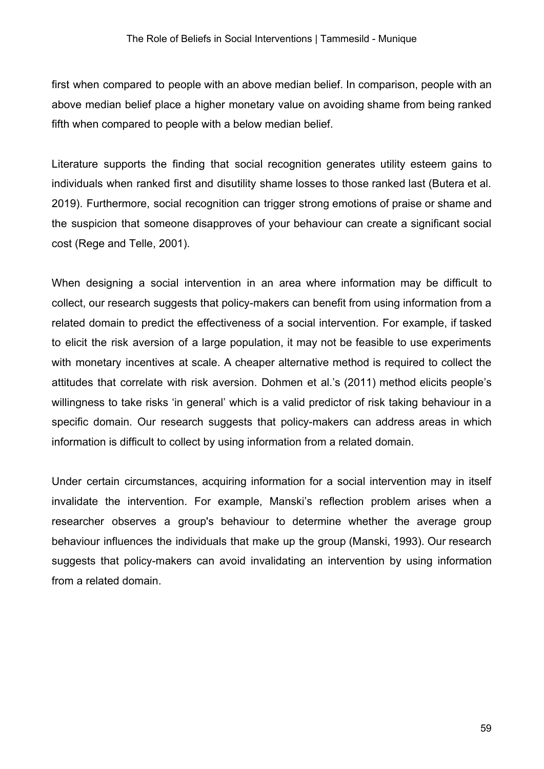first when compared to people with an above median belief. In comparison, people with an above median belief place a higher monetary value on avoiding shame from being ranked fifth when compared to people with a below median belief.

Literature supports the finding that social recognition generates utility esteem gains to individuals when ranked first and disutility shame losses to those ranked last (Butera et al. 2019). Furthermore, social recognition can trigger strong emotions of praise or shame and the suspicion that someone disapproves of your behaviour can create a significant social cost (Rege and Telle, 2001).

When designing a social intervention in an area where information may be difficult to collect, our research suggests that policy-makers can benefit from using information from a related domain to predict the effectiveness of a social intervention. For example, if tasked to elicit the risk aversion of a large population, it may not be feasible to use experiments with monetary incentives at scale. A cheaper alternative method is required to collect the attitudes that correlate with risk aversion. Dohmen et al.'s (2011) method elicits people's willingness to take risks 'in general' which is a valid predictor of risk taking behaviour in a specific domain. Our research suggests that policy-makers can address areas in which information is difficult to collect by using information from a related domain.

Under certain circumstances, acquiring information for a social intervention may in itself invalidate the intervention. For example, Manski's reflection problem arises when a researcher observes a group's behaviour to determine whether the average group behaviour influences the individuals that make up the group (Manski, 1993). Our research suggests that policy-makers can avoid invalidating an intervention by using information from a related domain.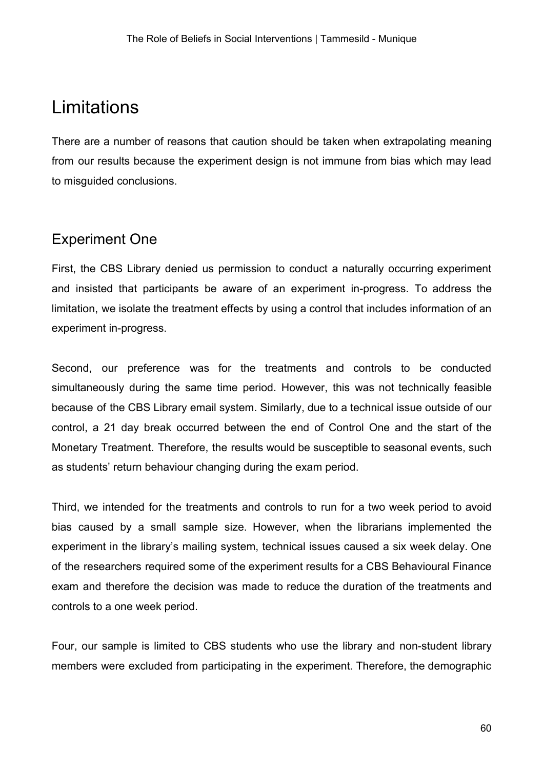## **Limitations**

There are a number of reasons that caution should be taken when extrapolating meaning from our results because the experiment design is not immune from bias which may lead to misguided conclusions.

## Experiment One

First, the CBS Library denied us permission to conduct a naturally occurring experiment and insisted that participants be aware of an experiment in-progress. To address the limitation, we isolate the treatment effects by using a control that includes information of an experiment in-progress.

Second, our preference was for the treatments and controls to be conducted simultaneously during the same time period. However, this was not technically feasible because of the CBS Library email system. Similarly, due to a technical issue outside of our control, a 21 day break occurred between the end of Control One and the start of the Monetary Treatment. Therefore, the results would be susceptible to seasonal events, such as students' return behaviour changing during the exam period.

Third, we intended for the treatments and controls to run for a two week period to avoid bias caused by a small sample size. However, when the librarians implemented the experiment in the library's mailing system, technical issues caused a six week delay. One of the researchers required some of the experiment results for a CBS Behavioural Finance exam and therefore the decision was made to reduce the duration of the treatments and controls to a one week period.

Four, our sample is limited to CBS students who use the library and non-student library members were excluded from participating in the experiment. Therefore, the demographic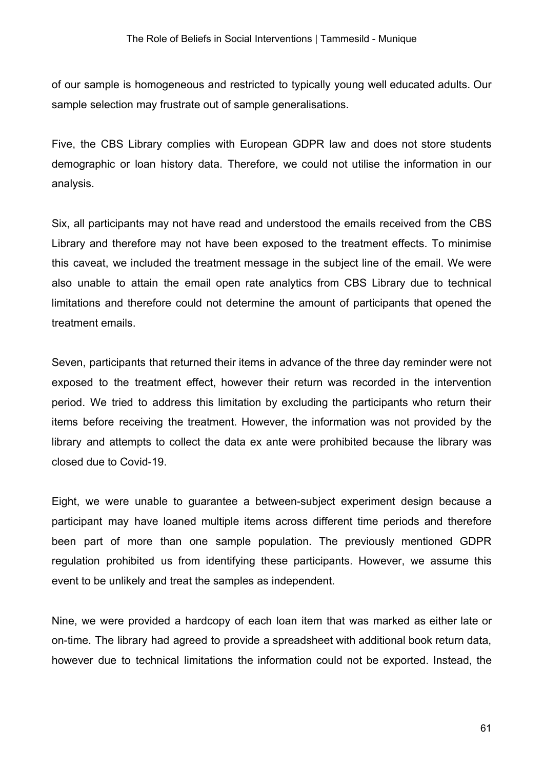of our sample is homogeneous and restricted to typically young well educated adults. Our sample selection may frustrate out of sample generalisations.

Five, the CBS Library complies with European GDPR law and does not store students demographic or loan history data. Therefore, we could not utilise the information in our analysis.

Six, all participants may not have read and understood the emails received from the CBS Library and therefore may not have been exposed to the treatment effects. To minimise this caveat, we included the treatment message in the subject line of the email. We were also unable to attain the email open rate analytics from CBS Library due to technical limitations and therefore could not determine the amount of participants that opened the treatment emails.

Seven, participants that returned their items in advance of the three day reminder were not exposed to the treatment effect, however their return was recorded in the intervention period. We tried to address this limitation by excluding the participants who return their items before receiving the treatment. However, the information was not provided by the library and attempts to collect the data ex ante were prohibited because the library was closed due to Covid-19.

Eight, we were unable to guarantee a between-subject experiment design because a participant may have loaned multiple items across different time periods and therefore been part of more than one sample population. The previously mentioned GDPR regulation prohibited us from identifying these participants. However, we assume this event to be unlikely and treat the samples as independent.

Nine, we were provided a hardcopy of each loan item that was marked as either late or on-time. The library had agreed to provide a spreadsheet with additional book return data, however due to technical limitations the information could not be exported. Instead, the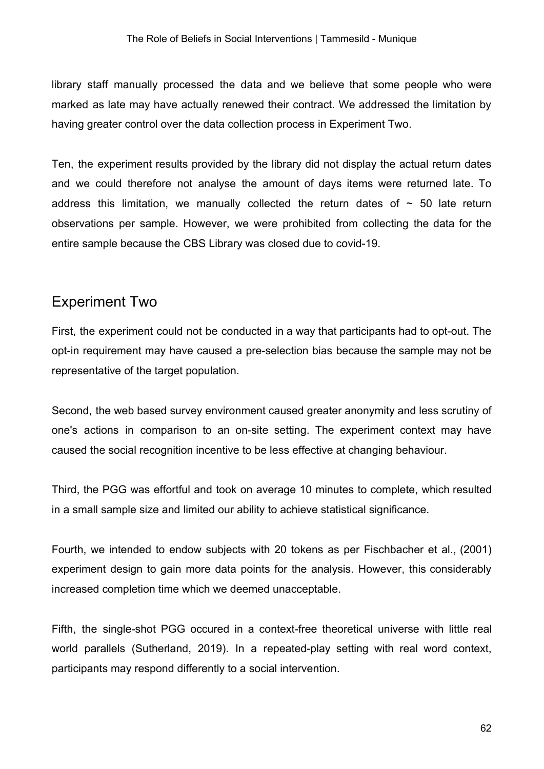library staff manually processed the data and we believe that some people who were marked as late may have actually renewed their contract. We addressed the limitation by having greater control over the data collection process in Experiment Two.

Ten, the experiment results provided by the library did not display the actual return dates and we could therefore not analyse the amount of days items were returned late. To address this limitation, we manually collected the return dates of  $\sim$  50 late return observations per sample. However, we were prohibited from collecting the data for the entire sample because the CBS Library was closed due to covid-19.

## Experiment Two

First, the experiment could not be conducted in a way that participants had to opt-out. The opt-in requirement may have caused a pre-selection bias because the sample may not be representative of the target population.

Second, the web based survey environment caused greater anonymity and less scrutiny of one's actions in comparison to an on-site setting. The experiment context may have caused the social recognition incentive to be less effective at changing behaviour.

Third, the PGG was effortful and took on average 10 minutes to complete, which resulted in a small sample size and limited our ability to achieve statistical significance.

Fourth, we intended to endow subjects with 20 tokens as per Fischbacher et al., (2001) experiment design to gain more data points for the analysis. However, this considerably increased completion time which we deemed unacceptable.

Fifth, the single-shot PGG occured in a context-free theoretical universe with little real world parallels (Sutherland, 2019). In a repeated-play setting with real word context, participants may respond differently to a social intervention.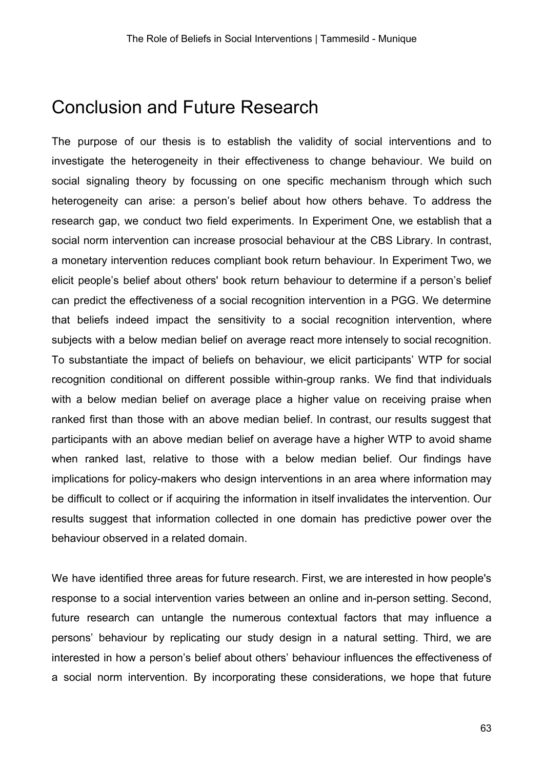## Conclusion and Future Research

The purpose of our thesis is to establish the validity of social interventions and to investigate the heterogeneity in their effectiveness to change behaviour. We build on social signaling theory by focussing on one specific mechanism through which such heterogeneity can arise: a person's belief about how others behave. To address the research gap, we conduct two field experiments. In Experiment One, we establish that a social norm intervention can increase prosocial behaviour at the CBS Library. In contrast, a monetary intervention reduces compliant book return behaviour. In Experiment Two, we elicit people's belief about others' book return behaviour to determine if a person's belief can predict the effectiveness of a social recognition intervention in a PGG. We determine that beliefs indeed impact the sensitivity to a social recognition intervention, where subjects with a below median belief on average react more intensely to social recognition. To substantiate the impact of beliefs on behaviour, we elicit participants' WTP for social recognition conditional on different possible within-group ranks. We find that individuals with a below median belief on average place a higher value on receiving praise when ranked first than those with an above median belief. In contrast, our results suggest that participants with an above median belief on average have a higher WTP to avoid shame when ranked last, relative to those with a below median belief. Our findings have implications for policy-makers who design interventions in an area where information may be difficult to collect or if acquiring the information in itself invalidates the intervention. Our results suggest that information collected in one domain has predictive power over the behaviour observed in a related domain.

We have identified three areas for future research. First, we are interested in how people's response to a social intervention varies between an online and in-person setting. Second, future research can untangle the numerous contextual factors that may influence a persons' behaviour by replicating our study design in a natural setting. Third, we are interested in how a person's belief about others' behaviour influences the effectiveness of a social norm intervention. By incorporating these considerations, we hope that future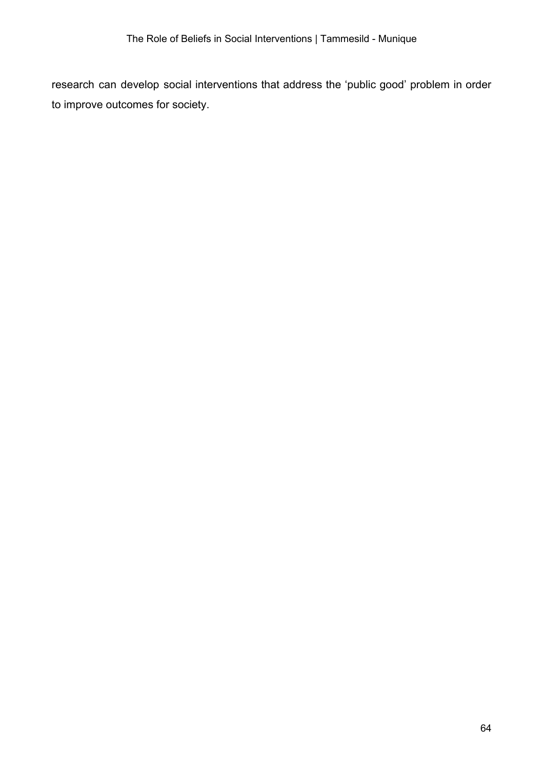research can develop social interventions that address the 'public good' problem in order to improve outcomes for society.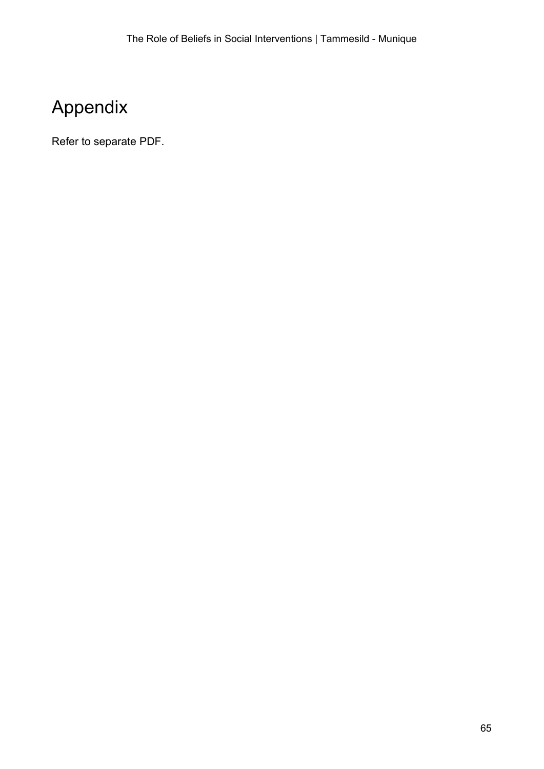# Appendix

Refer to separate PDF.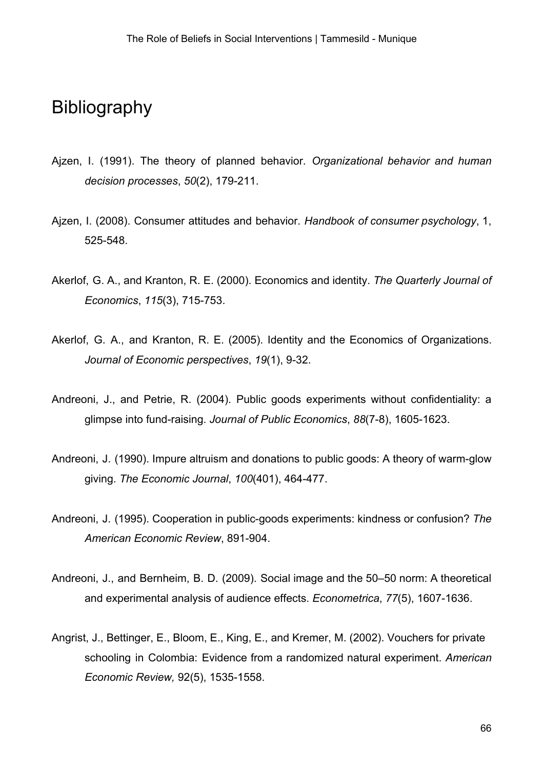## Bibliography

- Ajzen, I. (1991). The theory of planned behavior. *Organizational behavior and human decision processes*, *50*(2), 179-211.
- Ajzen, I. (2008). Consumer attitudes and behavior. *Handbook of consumer psychology*, 1, 525-548.
- Akerlof, G. A., and Kranton, R. E. (2000). Economics and identity. *The Quarterly Journal of Economics*, *115*(3), 715-753.
- Akerlof, G. A., and Kranton, R. E. (2005). Identity and the Economics of Organizations. *Journal of Economic perspectives*, *19*(1), 9-32.
- Andreoni, J., and Petrie, R. (2004). Public goods experiments without confidentiality: a glimpse into fund-raising. *Journal of Public Economics*, *88*(7-8), 1605-1623.
- Andreoni, J. (1990). Impure altruism and donations to public goods: A theory of warm-glow giving. *The Economic Journal*, *100*(401), 464-477.
- Andreoni, J. (1995). Cooperation in public-goods experiments: kindness or confusion? *The American Economic Review*, 891-904.
- Andreoni, J., and Bernheim, B. D. (2009). Social image and the 50–50 norm: A theoretical and experimental analysis of audience effects. *Econometrica*, *77*(5), 1607-1636.
- Angrist, J., Bettinger, E., Bloom, E., King, E., and Kremer, M. (2002). Vouchers for private schooling in Colombia: Evidence from a randomized natural experiment. *American Economic Review,* 92(5), 1535-1558.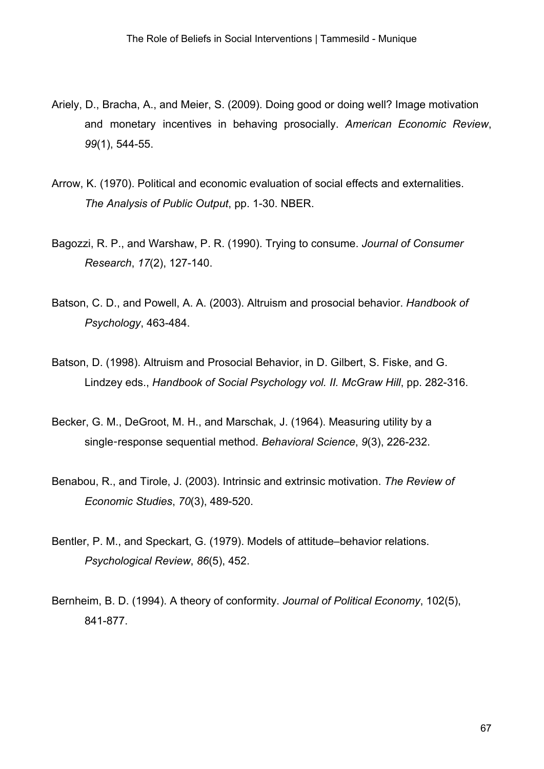- Ariely, D., Bracha, A., and Meier, S. (2009). Doing good or doing well? Image motivation and monetary incentives in behaving prosocially. *American Economic Review*, *99*(1), 544-55.
- Arrow, K. (1970). Political and economic evaluation of social effects and externalities. *The Analysis of Public Output*, pp. 1-30. NBER.
- Bagozzi, R. P., and Warshaw, P. R. (1990). Trying to consume. *Journal of Consumer Research*, *17*(2), 127-140.
- Batson, C. D., and Powell, A. A. (2003). Altruism and prosocial behavior. *Handbook of Psychology*, 463-484.
- Batson, D. (1998). Altruism and Prosocial Behavior, in D. Gilbert, S. Fiske, and G. Lindzey eds., *Handbook of Social Psychology vol. II. McGraw Hill*, pp. 282-316.
- Becker, G. M., DeGroot, M. H., and Marschak, J. (1964). Measuring utility by a single-response sequential method. *Behavioral Science*, *9*(3), 226-232.
- Benabou, R., and Tirole, J. (2003). Intrinsic and extrinsic motivation. *The Review of Economic Studies*, *70*(3), 489-520.
- Bentler, P. M., and Speckart, G. (1979). Models of attitude–behavior relations. *Psychological Review*, *86*(5), 452.
- Bernheim, B. D. (1994). A theory of conformity. *Journal of Political Economy*, 102(5), 841-877.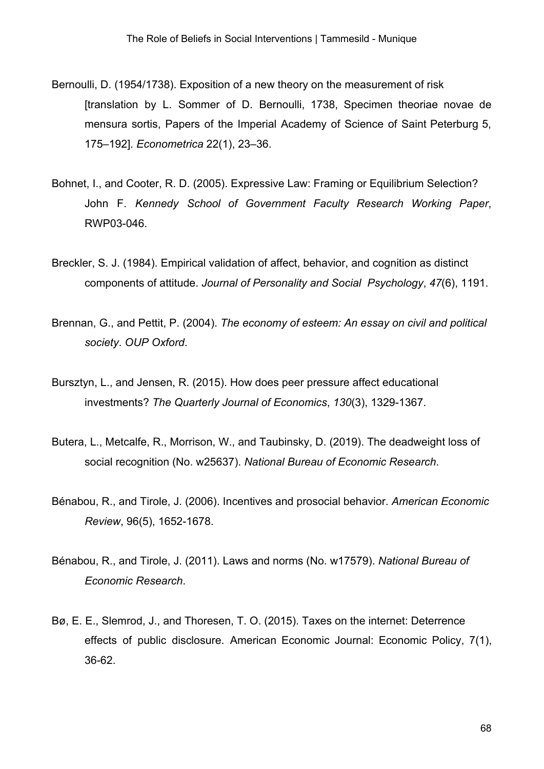- Bernoulli, D. (1954/1738). Exposition of a new theory on the measurement of risk [translation by L. Sommer of D. Bernoulli, 1738, Specimen theoriae novae de mensura sortis, Papers of the Imperial Academy of Science of Saint Peterburg 5, 175–192]. *Econometrica* 22(1), 23–36.
- Bohnet, I., and Cooter, R. D. (2005). Expressive Law: Framing or Equilibrium Selection? John F. *Kennedy School of Government Faculty Research Working Paper*, RWP03-046.
- Breckler, S. J. (1984). Empirical validation of affect, behavior, and cognition as distinct components of attitude. *Journal of Personality and Social Psychology*, *47*(6), 1191.
- Brennan, G., and Pettit, P. (2004). *The economy of esteem: An essay on civil and political society*. *OUP Oxford*.
- Bursztyn, L., and Jensen, R. (2015). How does peer pressure affect educational investments? *The Quarterly Journal of Economics*, *130*(3), 1329-1367.
- Butera, L., Metcalfe, R., Morrison, W., and Taubinsky, D. (2019). The deadweight loss of social recognition (No. w25637). *National Bureau of Economic Research*.
- Bénabou, R., and Tirole, J. (2006). Incentives and prosocial behavior. *American Economic Review*, 96(5), 1652-1678.
- Bénabou, R., and Tirole, J. (2011). Laws and norms (No. w17579). *National Bureau of Economic Research*.
- Bø, E. E., Slemrod, J., and Thoresen, T. O. (2015). Taxes on the internet: Deterrence effects of public disclosure. American Economic Journal: Economic Policy, 7(1), 36-62.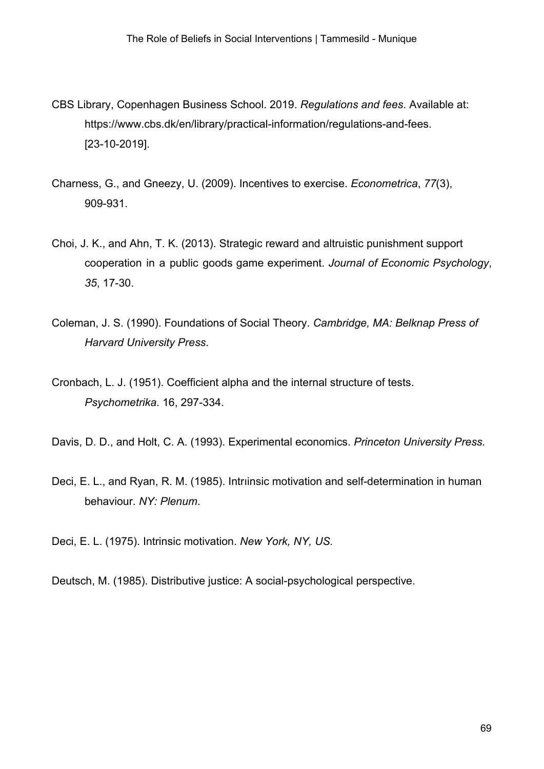- CBS Library, Copenhagen Business School. 2019. *Regulations and fees*. Available at: https://www.cbs.dk/en/library/practical-information/regulations-and-fees. [23-10-2019].
- Charness, G., and Gneezy, U. (2009). Incentives to exercise. *Econometrica*, *77*(3), 909-931.
- Choi, J. K., and Ahn, T. K. (2013). Strategic reward and altruistic punishment support cooperation in a public goods game experiment. *Journal of Economic Psychology*, *35*, 17-30.
- Coleman, J. S. (1990). Foundations of Social Theory. *Cambridge, MA: Belknap Press of Harvard University Press*.
- Cronbach, L. J. (1951). Coefficient alpha and the internal structure of tests. *Psychometrika*. 16, 297-334.

Davis, D. D., and Holt, C. A. (1993). Experimental economics. *Princeton University Press.*

- Deci, E. L., and Ryan, R. M. (1985). Intrıinsic motivation and self-determination in human behaviour. *NY: Plenum*.
- Deci, E. L. (1975). Intrinsic motivation. *New York, NY, US.*
- Deutsch, M. (1985). Distributive justice: A social-psychological perspective.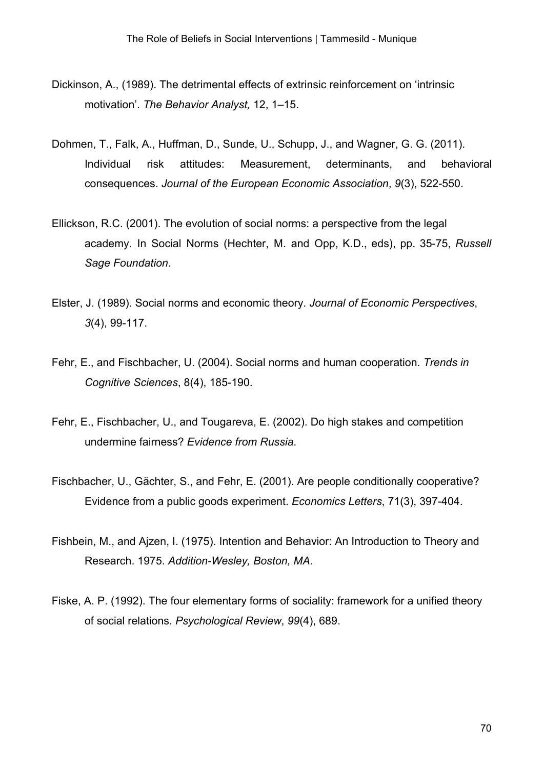- Dickinson, A., (1989). The detrimental effects of extrinsic reinforcement on 'intrinsic motivation'. *The Behavior Analyst,* 12, 1–15.
- Dohmen, T., Falk, A., Huffman, D., Sunde, U., Schupp, J., and Wagner, G. G. (2011). Individual risk attitudes: Measurement, determinants, and behavioral consequences. *Journal of the European Economic Association*, *9*(3), 522-550.
- Ellickson, R.C. (2001). The evolution of social norms: a perspective from the legal academy. In Social Norms (Hechter, M. and Opp, K.D., eds), pp. 35-75, *Russell Sage Foundation*.
- Elster, J. (1989). Social norms and economic theory. *Journal of Economic Perspectives*, *3*(4), 99-117.
- Fehr, E., and Fischbacher, U. (2004). Social norms and human cooperation. *Trends in Cognitive Sciences*, 8(4), 185-190.
- Fehr, E., Fischbacher, U., and Tougareva, E. (2002). Do high stakes and competition undermine fairness? *Evidence from Russia*.
- Fischbacher, U., Gächter, S., and Fehr, E. (2001). Are people conditionally cooperative? Evidence from a public goods experiment. *Economics Letters*, 71(3), 397-404.
- Fishbein, M., and Ajzen, I. (1975). Intention and Behavior: An Introduction to Theory and Research. 1975. *Addition-Wesley, Boston, MA*.
- Fiske, A. P. (1992). The four elementary forms of sociality: framework for a unified theory of social relations. *Psychological Review*, *99*(4), 689.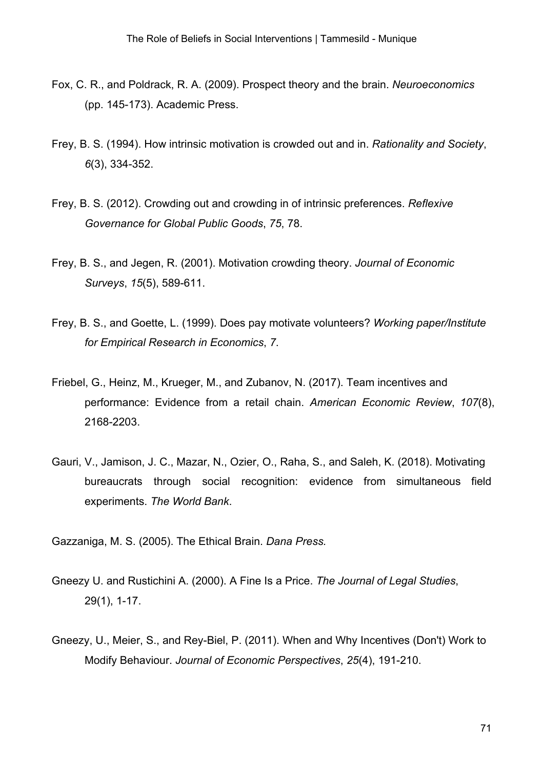- Fox, C. R., and Poldrack, R. A. (2009). Prospect theory and the brain. *Neuroeconomics* (pp. 145-173). Academic Press.
- Frey, B. S. (1994). How intrinsic motivation is crowded out and in. *Rationality and Society*, *6*(3), 334-352.
- Frey, B. S. (2012). Crowding out and crowding in of intrinsic preferences. *Reflexive Governance for Global Public Goods*, *75*, 78.
- Frey, B. S., and Jegen, R. (2001). Motivation crowding theory. *Journal of Economic Surveys*, *15*(5), 589-611.
- Frey, B. S., and Goette, L. (1999). Does pay motivate volunteers? *Working paper/Institute for Empirical Research in Economics*, *7*.
- Friebel, G., Heinz, M., Krueger, M., and Zubanov, N. (2017). Team incentives and performance: Evidence from a retail chain. *American Economic Review*, *107*(8), 2168-2203.
- Gauri, V., Jamison, J. C., Mazar, N., Ozier, O., Raha, S., and Saleh, K. (2018). Motivating bureaucrats through social recognition: evidence from simultaneous field experiments. *The World Bank*.
- Gazzaniga, M. S. (2005). The Ethical Brain. *Dana Press.*
- Gneezy U. and Rustichini A. (2000). A Fine Is a Price. *The Journal of Legal Studies*, 29(1), 1-17.
- Gneezy, U., Meier, S., and Rey-Biel, P. (2011). When and Why Incentives (Don't) Work to Modify Behaviour. *Journal of Economic Perspectives*, *25*(4), 191-210.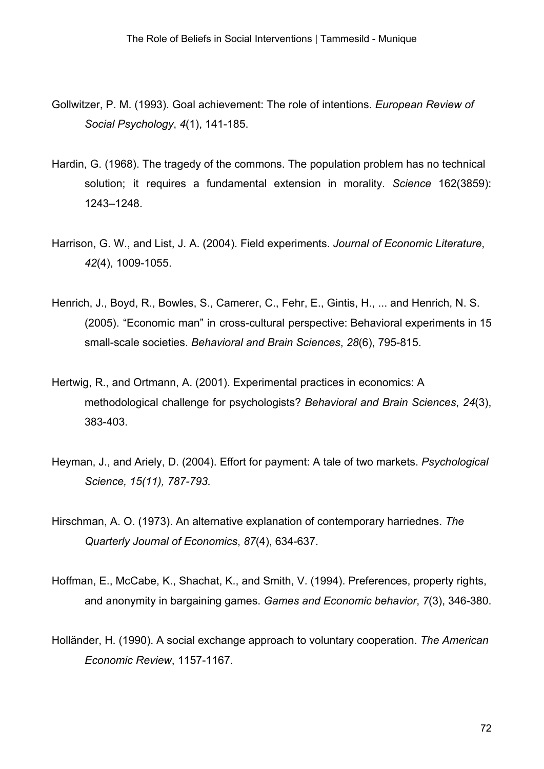- Gollwitzer, P. M. (1993). Goal achievement: The role of intentions. *European Review of Social Psychology*, *4*(1), 141-185.
- Hardin, G. (1968). The tragedy of the commons. The population problem has no technical solution; it requires a fundamental extension in morality. *Science* 162(3859): 1243–1248.
- Harrison, G. W., and List, J. A. (2004). Field experiments. *Journal of Economic Literature*, *42*(4), 1009-1055.
- Henrich, J., Boyd, R., Bowles, S., Camerer, C., Fehr, E., Gintis, H., ... and Henrich, N. S. (2005). "Economic man" in cross-cultural perspective: Behavioral experiments in 15 small-scale societies. *Behavioral and Brain Sciences*, *28*(6), 795-815.
- Hertwig, R., and Ortmann, A. (2001). Experimental practices in economics: A methodological challenge for psychologists? *Behavioral and Brain Sciences*, *24*(3), 383-403.
- Heyman, J., and Ariely, D. (2004). Effort for payment: A tale of two markets. *Psychological Science, 15(11), 787-793.*
- Hirschman, A. O. (1973). An alternative explanation of contemporary harriednes. *The Quarterly Journal of Economics*, *87*(4), 634-637.
- Hoffman, E., McCabe, K., Shachat, K., and Smith, V. (1994). Preferences, property rights, and anonymity in bargaining games. *Games and Economic behavior*, *7*(3), 346-380.
- Holländer, H. (1990). A social exchange approach to voluntary cooperation. *The American Economic Review*, 1157-1167.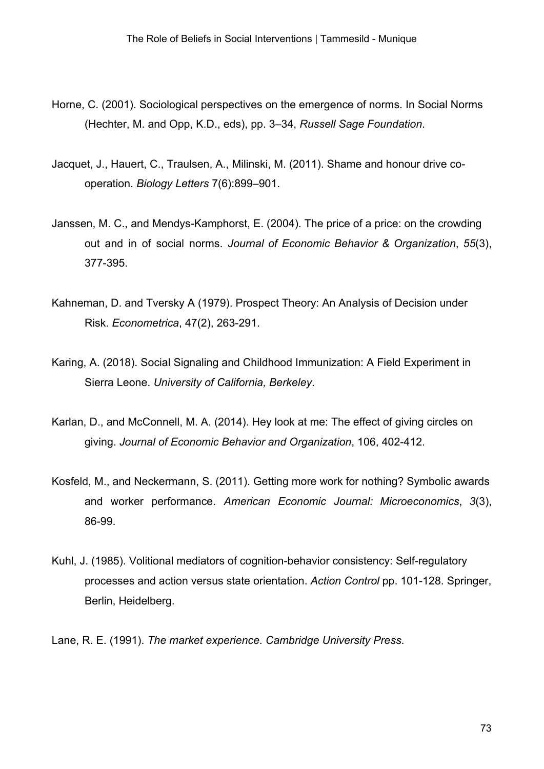- Horne, C. (2001). Sociological perspectives on the emergence of norms. In Social Norms (Hechter, M. and Opp, K.D., eds), pp. 3–34, *Russell Sage Foundation*.
- Jacquet, J., Hauert, C., Traulsen, A., Milinski, M. (2011). Shame and honour drive cooperation. *Biology Letters* 7(6):899–901.
- Janssen, M. C., and Mendys-Kamphorst, E. (2004). The price of a price: on the crowding out and in of social norms. *Journal of Economic Behavior & Organization*, *55*(3), 377-395.
- Kahneman, D. and Tversky A (1979). Prospect Theory: An Analysis of Decision under Risk. *Econometrica*, 47(2), 263-291.
- Karing, A. (2018). Social Signaling and Childhood Immunization: A Field Experiment in Sierra Leone. *University of California, Berkeley*.
- Karlan, D., and McConnell, M. A. (2014). Hey look at me: The effect of giving circles on giving. *Journal of Economic Behavior and Organization*, 106, 402-412.
- Kosfeld, M., and Neckermann, S. (2011). Getting more work for nothing? Symbolic awards and worker performance. *American Economic Journal: Microeconomics*, *3*(3), 86-99.
- Kuhl, J. (1985). Volitional mediators of cognition-behavior consistency: Self-regulatory processes and action versus state orientation. *Action Control* pp. 101-128. Springer, Berlin, Heidelberg.
- Lane, R. E. (1991). *The market experience*. *Cambridge University Press*.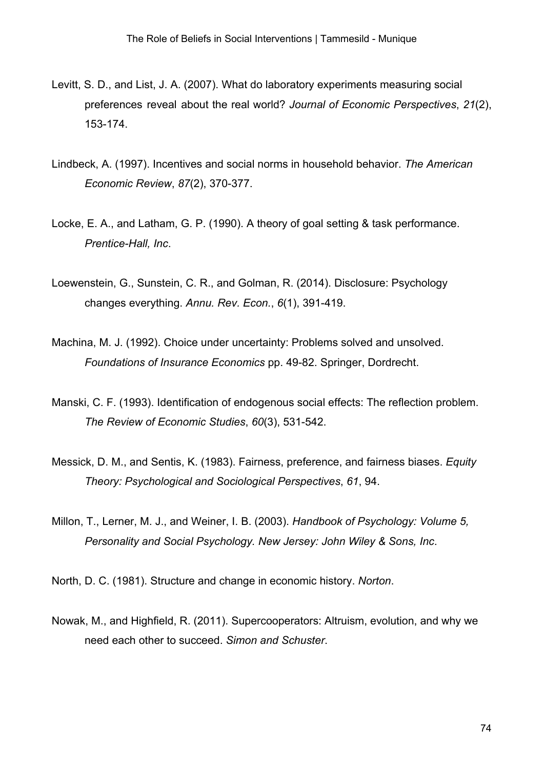- Levitt, S. D., and List, J. A. (2007). What do laboratory experiments measuring social preferences reveal about the real world? *Journal of Economic Perspectives*, *21*(2), 153-174.
- Lindbeck, A. (1997). Incentives and social norms in household behavior. *The American Economic Review*, *87*(2), 370-377.
- Locke, E. A., and Latham, G. P. (1990). A theory of goal setting & task performance. *Prentice-Hall, Inc*.
- Loewenstein, G., Sunstein, C. R., and Golman, R. (2014). Disclosure: Psychology changes everything. *Annu. Rev. Econ.*, *6*(1), 391-419.
- Machina, M. J. (1992). Choice under uncertainty: Problems solved and unsolved. *Foundations of Insurance Economics* pp. 49-82. Springer, Dordrecht.
- Manski, C. F. (1993). Identification of endogenous social effects: The reflection problem. *The Review of Economic Studies*, *60*(3), 531-542.
- Messick, D. M., and Sentis, K. (1983). Fairness, preference, and fairness biases. *Equity Theory: Psychological and Sociological Perspectives*, *61*, 94.
- Millon, T., Lerner, M. J., and Weiner, I. B. (2003). *Handbook of Psychology: Volume 5, Personality and Social Psychology. New Jersey: John Wiley & Sons, Inc*.

North, D. C. (1981). Structure and change in economic history. *Norton*.

Nowak, M., and Highfield, R. (2011). Supercooperators: Altruism, evolution, and why we need each other to succeed. *Simon and Schuster*.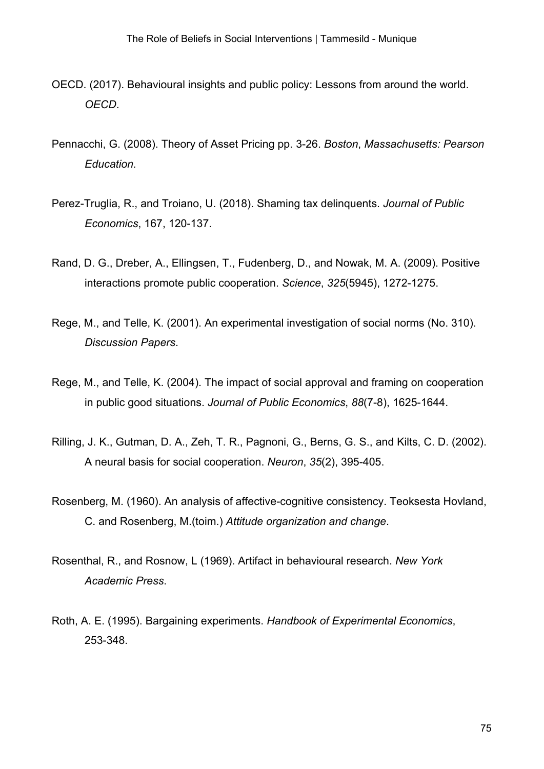- OECD. (2017). Behavioural insights and public policy: Lessons from around the world. *OECD*.
- Pennacchi, G. (2008). Theory of Asset Pricing pp. 3-26. *Boston*, *Massachusetts: Pearson Education.*
- Perez-Truglia, R., and Troiano, U. (2018). Shaming tax delinquents. *Journal of Public Economics*, 167, 120-137.
- Rand, D. G., Dreber, A., Ellingsen, T., Fudenberg, D., and Nowak, M. A. (2009). Positive interactions promote public cooperation. *Science*, *325*(5945), 1272-1275.
- Rege, M., and Telle, K. (2001). An experimental investigation of social norms (No. 310). *Discussion Papers*.
- Rege, M., and Telle, K. (2004). The impact of social approval and framing on cooperation in public good situations. *Journal of Public Economics*, *88*(7-8), 1625-1644.
- Rilling, J. K., Gutman, D. A., Zeh, T. R., Pagnoni, G., Berns, G. S., and Kilts, C. D. (2002). A neural basis for social cooperation. *Neuron*, *35*(2), 395-405.
- Rosenberg, M. (1960). An analysis of affective-cognitive consistency. Teoksesta Hovland, C. and Rosenberg, M.(toim.) *Attitude organization and change*.
- Rosenthal, R., and Rosnow, L (1969). Artifact in behavioural research. *New York Academic Press*.
- Roth, A. E. (1995). Bargaining experiments. *Handbook of Experimental Economics*, 253-348.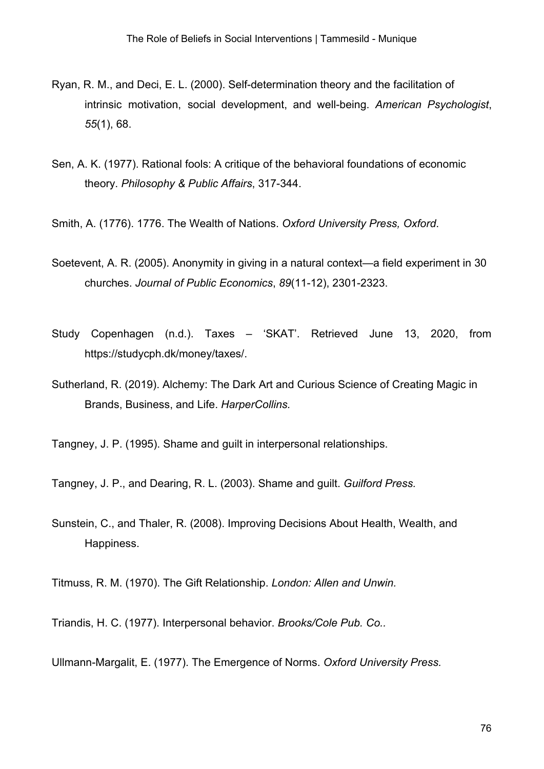- Ryan, R. M., and Deci, E. L. (2000). Self-determination theory and the facilitation of intrinsic motivation, social development, and well-being. *American Psychologist*, *55*(1), 68.
- Sen, A. K. (1977). Rational fools: A critique of the behavioral foundations of economic theory. *Philosophy & Public Affairs*, 317-344.

Smith, A. (1776). 1776. The Wealth of Nations. *Oxford University Press, Oxford*.

- Soetevent, A. R. (2005). Anonymity in giving in a natural context—a field experiment in 30 churches. *Journal of Public Economics*, *89*(11-12), 2301-2323.
- Study Copenhagen (n.d.). Taxes 'SKAT'. Retrieved June 13, 2020, from https://studycph.dk/money/taxes/.
- Sutherland, R. (2019). Alchemy: The Dark Art and Curious Science of Creating Magic in Brands, Business, and Life. *HarperCollins.*

Tangney, J. P. (1995). Shame and guilt in interpersonal relationships.

Tangney, J. P., and Dearing, R. L. (2003). Shame and guilt. *Guilford Press.*

Sunstein, C., and Thaler, R. (2008). Improving Decisions About Health, Wealth, and Happiness.

Titmuss, R. M. (1970). The Gift Relationship. *London: Allen and Unwin.*

Triandis, H. C. (1977). Interpersonal behavior. *Brooks/Cole Pub. Co..*

Ullmann-Margalit, E. (1977). The Emergence of Norms. *Oxford University Press.*